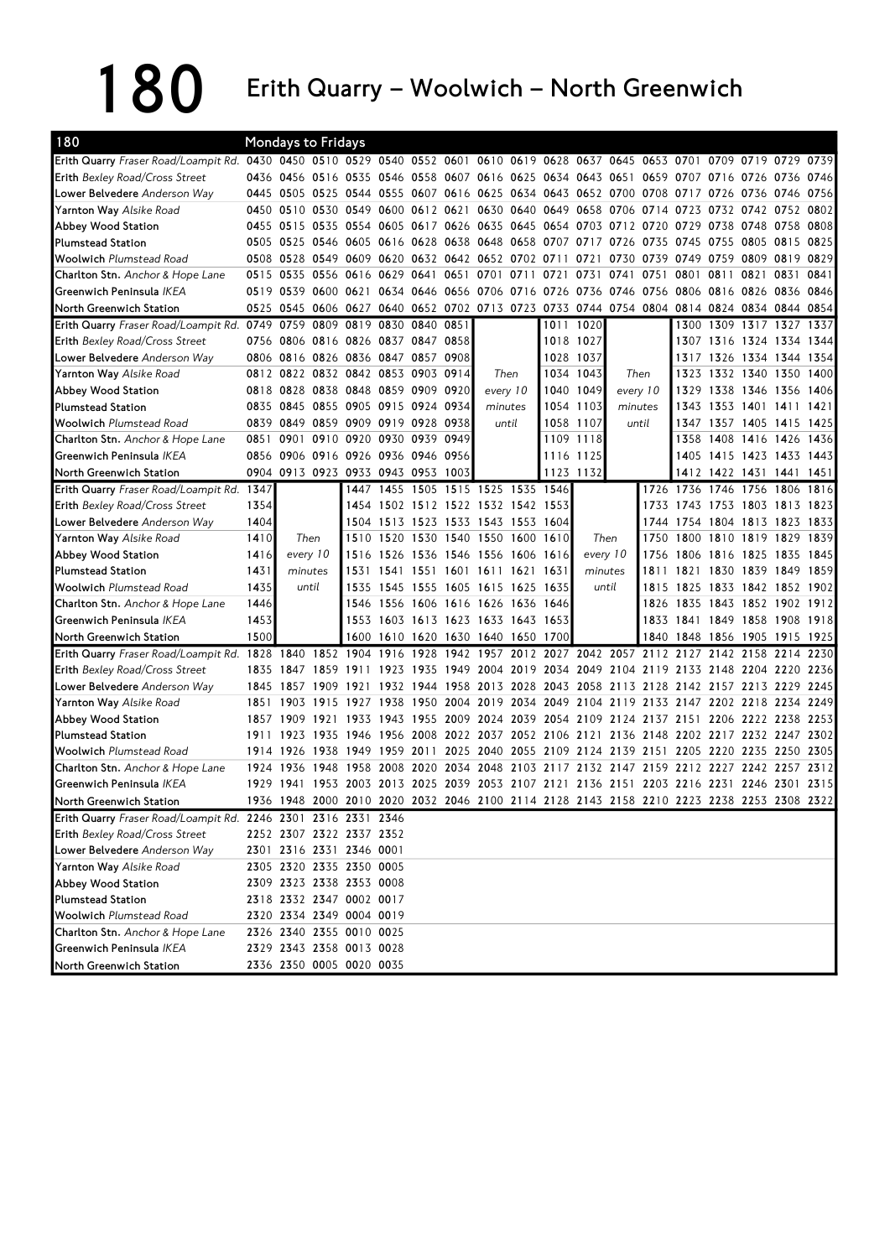180 Erith Quarry – Woolwich – North Greenwich

| 180                                                                                                                            |      | <b>Mondays to Fridays</b>                         |      |                               |      |                                    |      |         |          |                                                             |           |           |           |                                                                                           |                          |      |
|--------------------------------------------------------------------------------------------------------------------------------|------|---------------------------------------------------|------|-------------------------------|------|------------------------------------|------|---------|----------|-------------------------------------------------------------|-----------|-----------|-----------|-------------------------------------------------------------------------------------------|--------------------------|------|
| Erith Quarry Fraser Road/Loampit Rd. 0430 0450 0510 0529 0540 0552 0601 0610 0619 0628 0637 0645 0653 0701 0709 0719 0729 0739 |      |                                                   |      |                               |      |                                    |      |         |          |                                                             |           |           |           |                                                                                           |                          |      |
| Erith Bexley Road/Cross Street                                                                                                 |      |                                                   |      |                               |      |                                    |      |         |          |                                                             |           |           |           | 0436 0456 0516 0535 0546 0558 0607 0616 0625 0634 0643 0651 0659 0707 0716 0726 0736 0746 |                          |      |
| Lower Belvedere Anderson Way                                                                                                   | 0445 |                                                   |      |                               |      |                                    |      |         |          |                                                             |           |           |           | 0505 0525 0544 0555 0607 0616 0625 0634 0643 0652 0700 0708 0717 0726 0736 0746 0756      |                          |      |
| <b>Yarnton Way Alsike Road</b>                                                                                                 |      |                                                   |      |                               |      |                                    |      |         |          |                                                             |           |           |           | 0450 0510 0530 0549 0600 0612 0621 0630 0640 0649 0658 0706 0714 0723 0732 0742 0752 0802 |                          |      |
| Abbey Wood Station                                                                                                             |      |                                                   |      |                               |      |                                    |      |         |          |                                                             |           |           |           | 0455 0515 0535 0554 0605 0617 0626 0635 0645 0654 0703 0712 0720 0729 0738 0748 0758 0808 |                          |      |
| <b>Plumstead Station</b>                                                                                                       | 0505 |                                                   |      |                               |      |                                    |      |         |          | 0525 0546 0605 0616 0628 0638 0648 0658 0707 0717 0726 0735 |           |           |           | 0745 0755 0805 0815                                                                       |                          | 0825 |
| <b>Woolwich Plumstead Road</b>                                                                                                 |      | 0508 0528 0549 0609 0620 0632 0642 0652 0702 0711 |      |                               |      |                                    |      |         |          |                                                             | 0721      | 0730 0739 |           | 0749 0759 0809 0819 0829                                                                  |                          |      |
| Charlton Stn. Anchor & Hope Lane                                                                                               |      | 0515 0535 0556 0616 0629 0641 0651 0701 0711      |      |                               |      |                                    |      |         |          | 0721                                                        | 0731      | 0741      | 0751      | 0801 0811 0821 0831 0841                                                                  |                          |      |
| Greenwich Peninsula IKEA                                                                                                       |      |                                                   |      |                               |      |                                    |      |         |          |                                                             |           |           |           | 0519 0539 0600 0621 0634 0646 0656 0706 0716 0726 0736 0746 0756 0806 0816 0826 0836 0846 |                          |      |
| North Greenwich Station                                                                                                        | 0525 |                                                   |      |                               |      |                                    |      |         |          |                                                             |           |           |           | 0545 0606 0627 0640 0652 0702 0713 0723 0733 0744 0754 0804 0814 0824 0834 0844 0854      |                          |      |
| Erith Quarry Fraser Road/Loampit Rd. 0749                                                                                      |      |                                                   |      | 0759 0809 0819 0830 0840 0851 |      |                                    |      |         |          | 1011                                                        | 1020      |           |           |                                                                                           | 1300 1309 1317 1327      | 1337 |
| Erith Bexley Road/Cross Street                                                                                                 |      | 0756 0806 0816 0826 0837 0847 0858                |      |                               |      |                                    |      |         |          |                                                             | 1018 1027 |           |           |                                                                                           | 1307 1316 1324 1334 1344 |      |
| <b>Lower Belvedere</b> Anderson Way                                                                                            |      | 0806 0816 0826 0836 0847 0857 0908                |      |                               |      |                                    |      |         |          |                                                             | 1028 1037 |           |           |                                                                                           | 1317 1326 1334 1344 1354 |      |
| <b>Yarnton Way Alsike Road</b>                                                                                                 |      | 0812 0822 0832 0842 0853 0903 0914                |      |                               |      |                                    |      |         | Then     |                                                             | 1034 1043 | Then      |           |                                                                                           | 1323 1332 1340 1350 1400 |      |
| Abbey Wood Station                                                                                                             | 0818 | 0828 0838 0848 0859 0909 0920                     |      |                               |      |                                    |      |         | every 10 |                                                             | 1040 1049 |           | every 10  | 1329                                                                                      | 1338 1346 1356 1406      |      |
| <b>Plumstead Station</b>                                                                                                       |      | 0835 0845                                         |      | 0855 0905 0915                |      | 0924 0934                          |      | minutes |          |                                                             | 1054 1103 | minutes   |           | 1343                                                                                      | 1353 1401 1411           | 1421 |
| <b>Woolwich Plumstead Road</b>                                                                                                 | 0839 | 0849 0859 0909 0919 0928 0938                     |      |                               |      |                                    |      |         | until    |                                                             | 1058 1107 | until     |           | 1347                                                                                      | 1357 1405 1415 1425      |      |
| Charlton Stn. Anchor & Hope Lane                                                                                               | 0851 | 0901                                              |      | 0910 0920 0930 0939 0949      |      |                                    |      |         |          |                                                             | 1109 1118 |           |           |                                                                                           | 1358 1408 1416 1426 1436 |      |
| Greenwich Peninsula IKEA                                                                                                       | 0856 |                                                   |      | 0906 0916 0926 0936 0946 0956 |      |                                    |      |         |          |                                                             | 1116 1125 |           |           | 1405                                                                                      | 1415 1423 1433 1443      |      |
| North Greenwich Station                                                                                                        |      | 0904 0913 0923 0933 0943 0953 1003                |      |                               |      |                                    |      |         |          |                                                             | 1123 1132 |           |           |                                                                                           | 1412 1422 1431 1441 1451 |      |
| Erith Quarry Fraser Road/Loampit Rd. 1347                                                                                      |      |                                                   |      |                               |      | 1447 1455 1505 1515 1525 1535 1546 |      |         |          |                                                             |           |           |           | 1726 1736 1746 1756 1806 1816                                                             |                          |      |
| <b>Erith Bexley Road/Cross Street</b>                                                                                          | 1354 |                                                   |      | 1454                          |      | 1502 1512 1522 1532 1542 1553      |      |         |          |                                                             |           |           | 1733      | 1743 1753 1803 1813 1823                                                                  |                          |      |
| Lower Belvedere Anderson Way                                                                                                   | 1404 |                                                   |      | 1504                          |      | 1513 1523 1533 1543 1553 1604      |      |         |          |                                                             |           |           |           | 1744 1754 1804 1813 1823 1833                                                             |                          |      |
| Yarnton Way Alsike Road                                                                                                        | 1410 | Then                                              |      |                               |      | 1510 1520 1530 1540 1550 1600 1610 |      |         |          |                                                             | Then      |           |           | 1750 1800 1810 1819 1829 1839                                                             |                          |      |
| Abbey Wood Station                                                                                                             | 1416 | every 10                                          |      | 1516                          |      | 1526 1536 1546 1556 1606           |      |         |          | 1616                                                        | every 10  |           | 1756      | 1806 1816 1825 1835 1845                                                                  |                          |      |
| <b>Plumstead Station</b>                                                                                                       | 1431 | minutes                                           |      | 1531                          |      | 1541 1551 1601 1611 1621           |      |         |          | 1631                                                        | minutes   |           | 1811      |                                                                                           | 1821 1830 1839 1849 1859 |      |
| <b>Woolwich Plumstead Road</b>                                                                                                 | 1435 | until                                             |      | 1535                          | 1545 | 1555 1605 1615 1625                |      |         |          | 1635                                                        | until     |           | 1815      | 1825 1833 1842 1852 1902                                                                  |                          |      |
| Charlton Stn. Anchor & Hope Lane                                                                                               | 1446 |                                                   |      | 1546                          |      | 1556 1606 1616 1626 1636           |      |         |          | 1646                                                        |           |           | 1826      |                                                                                           | 1835 1843 1852 1902 1912 |      |
| Greenwich Peninsula IKEA                                                                                                       | 1453 |                                                   |      |                               |      | 1553 1603 1613 1623 1633 1643 1653 |      |         |          |                                                             |           |           |           | 1833 1841 1849 1858 1908 1918                                                             |                          |      |
| North Greenwich Station                                                                                                        | 1500 |                                                   |      |                               |      | 1600 1610 1620 1630 1640 1650 1700 |      |         |          |                                                             |           |           |           | 1840 1848 1856 1905 1915 1925                                                             |                          |      |
| Erith Quarry Fraser Road/Loampit Rd. 1828                                                                                      |      | 1840                                              |      | 1852 1904 1916                |      | 1928                               |      |         |          | 1942 1957 2012 2027 2042 2057 2112 2127                     |           |           |           |                                                                                           | 2142 2158 2214 2230      |      |
| <b>Erith Bexley Road/Cross Street</b>                                                                                          | 1835 | 1847                                              | 1859 | 1911                          | 1923 | 1935                               |      |         |          |                                                             |           |           |           | 1949 2004 2019 2034 2049 2104 2119 2133 2148 2204 2220 2236                               |                          |      |
| Lower Belvedere Anderson Way                                                                                                   | 1845 | 1857                                              | 1909 | 1921                          |      | 1932 1944 1958 2013 2028           |      |         |          | 2043 2058 2113 2128                                         |           |           |           | 2142 2157 2213 2229 2245                                                                  |                          |      |
| <b>Yarnton Way Alsike Road</b>                                                                                                 |      | 1851 1903                                         | 1915 | 1927                          | 1938 | 1950                               | 2004 |         |          | 2019 2034 2049 2104 2119                                    |           |           | 2133 2147 |                                                                                           | 2202 2218 2234 2249      |      |
| Abbey Wood Station                                                                                                             |      | 1857 1909                                         |      | 1921 1933                     |      |                                    |      |         |          | 1943 1955 2009 2024 2039 2054 2109 2124 2137 2151           |           |           |           |                                                                                           | 2206 2222 2238 2253      |      |
| <b>Plumstead Station</b>                                                                                                       |      |                                                   |      |                               |      |                                    |      |         |          |                                                             |           |           |           | 1911 1923 1935 1946 1956 2008 2022 2037 2052 2106 2121 2136 2148 2202 2217 2232 2247 2302 |                          |      |
| <b>Woolwich Plumstead Road</b>                                                                                                 |      | 1914 1926 1938 1949 1959 2011                     |      |                               |      |                                    |      |         |          | 2025 2040 2055 2109 2124 2139 2151 2205                     |           |           |           |                                                                                           | 2220 2235 2250 2305      |      |
| Charlton Stn. Anchor & Hope Lane                                                                                               |      | 1924 1936                                         | 1948 | 1958 2008                     |      |                                    |      |         |          |                                                             |           |           |           | 2020 2034 2048 2103 2117 2132 2147 2159 2212 2227 2242 2257 2312                          |                          |      |
| Greenwich Peninsula IKEA                                                                                                       |      |                                                   |      |                               |      |                                    |      |         |          |                                                             |           |           |           | 1929 1941 1953 2003 2013 2025 2039 2053 2107 2121 2136 2151 2203 2216 2231 2246 2301 2315 |                          |      |
| North Greenwich Station                                                                                                        |      |                                                   |      |                               |      |                                    |      |         |          |                                                             |           |           |           | 1936 1948 2000 2010 2020 2032 2046 2100 2114 2128 2143 2158 2210 2223 2238 2253 2308 2322 |                          |      |
| Erith Quarry Fraser Road/Loampit Rd.                                                                                           |      | 2246 2301 2316 2331 2346                          |      |                               |      |                                    |      |         |          |                                                             |           |           |           |                                                                                           |                          |      |
| Erith Bexley Road/Cross Street                                                                                                 |      | 2252 2307 2322 2337 2352                          |      |                               |      |                                    |      |         |          |                                                             |           |           |           |                                                                                           |                          |      |
| Lower Belvedere Anderson Way                                                                                                   |      | 2301 2316 2331 2346 0001                          |      |                               |      |                                    |      |         |          |                                                             |           |           |           |                                                                                           |                          |      |
| Yarnton Way Alsike Road                                                                                                        |      | 2305 2320 2335 2350 0005                          |      |                               |      |                                    |      |         |          |                                                             |           |           |           |                                                                                           |                          |      |
| Abbey Wood Station                                                                                                             |      | 2309 2323 2338 2353 0008                          |      |                               |      |                                    |      |         |          |                                                             |           |           |           |                                                                                           |                          |      |
| <b>Plumstead Station</b>                                                                                                       |      | 2318 2332 2347 0002 0017                          |      |                               |      |                                    |      |         |          |                                                             |           |           |           |                                                                                           |                          |      |
| <b>Woolwich Plumstead Road</b>                                                                                                 |      | 2320 2334 2349 0004 0019                          |      |                               |      |                                    |      |         |          |                                                             |           |           |           |                                                                                           |                          |      |
| Charlton Stn. Anchor & Hope Lane                                                                                               |      | 2326 2340 2355 0010 0025                          |      |                               |      |                                    |      |         |          |                                                             |           |           |           |                                                                                           |                          |      |
| Greenwich Peninsula IKEA                                                                                                       |      | 2329 2343 2358 0013 0028                          |      |                               |      |                                    |      |         |          |                                                             |           |           |           |                                                                                           |                          |      |
| North Greenwich Station                                                                                                        |      | 2336 2350 0005 0020 0035                          |      |                               |      |                                    |      |         |          |                                                             |           |           |           |                                                                                           |                          |      |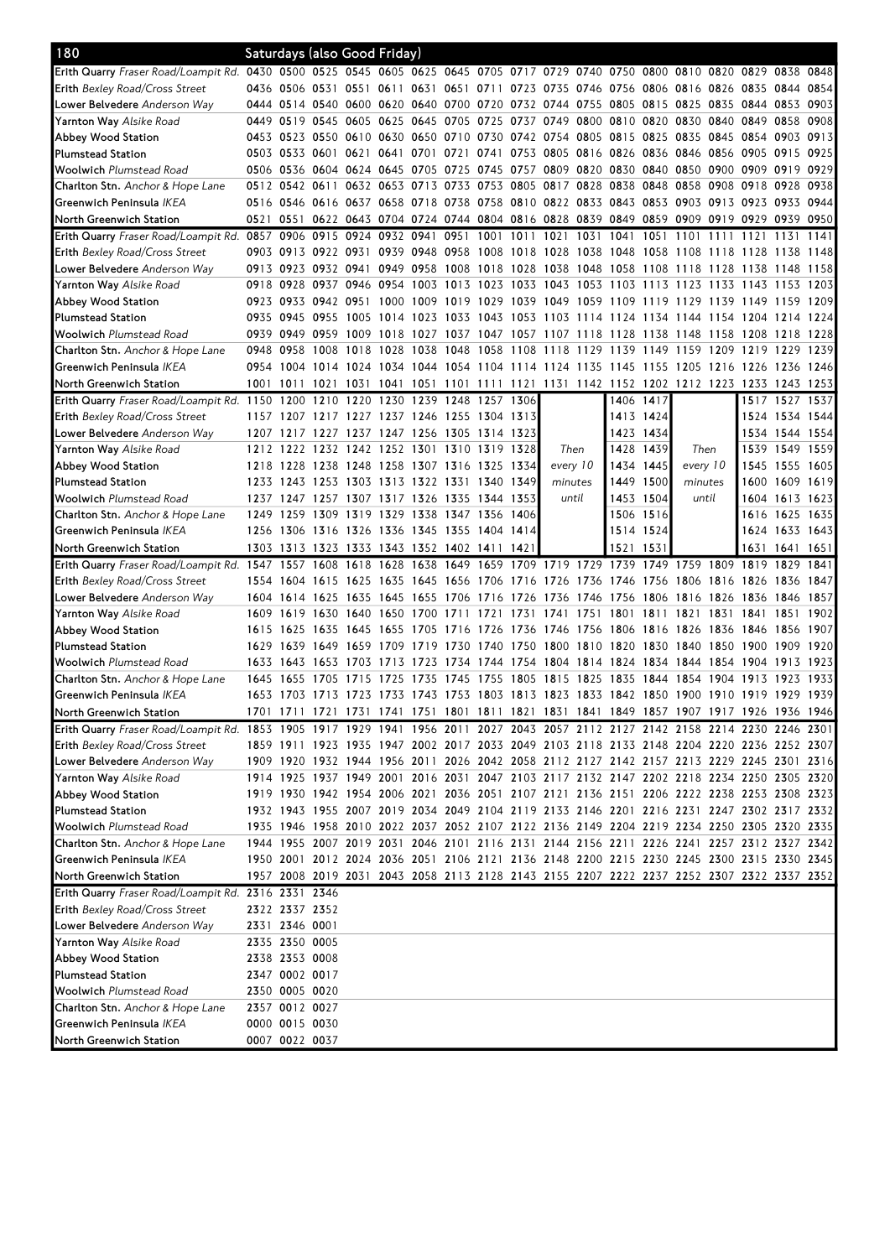| Erith Quarry Fraser Road/Loampit Rd. 0430 0500 0525 0545 0605 0625 0645 0705 0717 0729 0740 0750 0800 0810 0820 0829 0838 0848<br>Erith Bexley Road/Cross Street<br>0436 0506 0531 0551 0611 0631 0651 0711 0723 0735 0746 0756 0806 0816 0826 0835 0844 0854<br>0444 0514 0540 0600 0620 0640 0700 0720 0732 0744 0755 0805 0815 0825 0835 0844 0853 0903<br><b>Lower Belvedere</b> Anderson Way<br>0449 0519 0545 0605 0625 0645 0705<br>0725 0737 0749 0800 0810 0820 0830<br>0840 0849 0858<br>0908<br><b>Yarnton Way</b> Alsike Road<br>0453 0523 0550 0610 0630 0650 0710 0730 0742 0754 0805 0815 0825 0835 0845 0854 0903 0913<br>Abbey Wood Station<br>0503 0533 0601 0621 0641 0701 0721 0741 0753 0805 0816 0826 0836 0846 0856 0905 0915 0925<br><b>Plumstead Station</b><br><b>Woolwich</b> Plumstead Road<br>0506 0536 0604 0624 0645 0705 0725<br>0745 0757 0809 0820 0830 0840 0850<br>0900 0909 0919 0929<br>0512 0542 0611 0632 0653 0713 0733 0753 0805 0817 0828 0838 0848 0858 0908 0918 0928 0938<br><b>Charlton Stn.</b> Anchor & Hope Lane<br>Greenwich Peninsula IKEA<br>0516 0546 0616 0637 0658 0718 0738 0758 0810 0822 0833 0843 0853 0903 0913 0923 0933 0944<br>0551 0622 0643 0704 0724 0744 0804 0816 0828 0839 0849 0859 0909 0919 0929 0939 0950<br>North Greenwich Station<br>0521<br>Erith Quarry Fraser Road/Loampit Rd. 0857<br>0906 0915 0924 0932 0941 0951<br>1001 1011<br>1021<br>1031<br>1041<br>1051<br>1101<br>1111<br>1121<br>1131<br>1141<br><b>Erith Bexley Road/Cross Street</b><br>0903 0913 0922 0931 0939 0948 0958 1008 1018 1028 1038 1048 1058 1108 1118 1128 1138 1148<br>0949 0958 1008 1018 1028 1038 1048 1058 1108 1118 1128 1138 1148 1158<br>Lower Belvedere Anderson Way<br>0913 0923 0932 0941<br>0918 0928 0937 0946 0954 1003 1013 1023 1033 1043 1053 1103 1113 1123 1133 1143 1153 1203<br><b>Yarnton Way</b> Alsike Road<br>0923 0933 0942 0951 1000 1009<br>1019 1029 1039 1049 1059 1109 1119 1129 1139 1149 1159 1209<br>Abbey Wood Station<br><b>Plumstead Station</b><br>0935 0945 0955 1005 1014 1023 1033 1043 1053 1103 1114 1124 1134 1144 1154 1204 1214 1224<br><b>Woolwich</b> Plumstead Road<br>0939 0949 0959 1009 1018 1027 1037 1047 1057 1107 1118 1128 1138 1148 1158 1208 1218 1228<br>0948 0958<br>1008 1018 1028 1038 1048 1058 1108 1118 1129 1139 1149 1159 1209 1219 1229 1239<br>Charlton Stn. Anchor & Hope Lane<br>0954 1004 1014 1024 1034 1044 1054 1104 1114 1124 1135 1145 1155 1205 1216 1226 1236<br>Greenwich Peninsula IKEA<br>1246<br>1031 1041 1051 1101 1111 1121 1131 1142 1152 1202 1212 1223 1233 1243 1253<br>North Greenwich Station<br>1001 1011 1021<br>Erith Quarry Fraser Road/Loampit Rd. 1150<br>1230 1239 1248<br>1200<br>1210 1220<br>1257 1306<br>1406 1417<br>1517 1527 1537<br><b>Erith Bexley Road/Cross Street</b><br>1157 1207 1217 1227 1237 1246 1255 1304 1313<br>1413 1424<br>1524 1534 1544<br>1423 1434<br>Lower Belvedere Anderson Way<br>1207 1217 1227 1237 1247 1256 1305 1314 1323<br>1534 1544 1554<br>1212 1222 1232 1242 1252 1301 1310 1319 1328<br>1428 1439<br>Then<br>1539 1549 1559<br><b>Yarnton Way</b> Alsike Road<br>Then<br>1218 1228 1238 1248 1258 1307 1316 1325 1334<br>every 10<br>every 10<br>Abbey Wood Station<br>1434 1445<br>1545 1555 1605<br><b>Plumstead Station</b><br>1233 1243 1253 1303 1313 1322 1331 1340 1349<br>1449 1500<br>1600 1609 1619<br>minutes<br>minutes<br><b>Woolwich</b> Plumstead Road<br>1237 1247 1257 1307 1317 1326 1335 1344 1353<br>1453 1504<br>1604 1613 1623<br>until<br>until<br>1249 1259 1309 1319 1329 1338 1347 1356 1406<br>1506 1516<br>1625 1635<br>1616<br><b>Charlton Stn.</b> Anchor & Hope Lane<br>1256 1306 1316 1326 1336 1345 1355 1404 1414<br>1624 1633 1643<br>Greenwich Peninsula <i>IKEA</i><br>1514 1524<br>1303 1313 1323 1333 1343 1352 1402 1411 1421<br>North Greenwich Station<br>1521 1531<br>1631 1641 1651<br>1659 1709 1719 1729 1739 1749 1759 1809 1819 1829 1841<br>Erith Quarry Fraser Road/Loampit Rd. 1547 1557 1608 1618 1628 1638 1649<br>Erith Bexley Road/Cross Street<br>1554 1604 1615 1625<br>1635 1645 1656 1706 1716 1726 1736 1746 1756 1806 1816 1826 1836<br>1847<br>1625 1635<br>1645 1655 1706 1716 1726<br>1736 1746 1756 1806<br>1857<br><b>Lower Belvedere</b> Anderson Way<br>1604 1614<br>1816 1826 1836<br>1846<br><b>Yarnton Way</b> Alsike Road<br>1609 1619 1630 1640<br>1650 1700<br>1711<br>1721<br>1731<br>1741<br>1751<br>1801 1811 1821<br>1831 1841<br>1851<br>1902<br>Abbey Wood Station<br>1615 1625 1635 1645 1655 1705<br>1716 1726 1736 1746 1756 1806 1816 1826 1836 1846 1856<br>1907<br>1629 1639 1649 1659 1709 1719 1730 1740 1750 1800 1810 1820 1830 1840 1850 1900 1909 1920<br><b>Plumstead Station</b><br>1734 1744 1754<br>1804 1814 1824 1834 1844<br>1854 1904<br><b>Woolwich</b> Plumstead Road<br>1633 1643 1653 1703 1713 1723<br>1913 1923<br>1645 1655<br>1715<br>1725<br>1735<br>1745<br>1755 1805 1815 1825 1835 1844 1854<br>1933<br><b>Charlton Stn.</b> Anchor & Hope Lane<br>1705<br>1904 1913<br>1923<br>1653 1703 1713 1723 1733 1743 1753 1803 1813 1823 1833 1842 1850 1900 1910 1919 1929 1939<br>Greenwich Peninsula <i>IKEA</i><br>1701 1711 1721 1731 1741 1751 1801 1811 1821 1831 1841 1849 1857 1907 1917 1926 1936 1946<br>North Greenwich Station<br>Erith Quarry Fraser Road/Loampit Rd. 1853 1905 1917 1929 1941 1956 2011 2027 2043 2057 2112 2127 2142 2158 2214 2230 2246 2301<br>Erith Bexley Road/Cross Street<br>1859 1911 1923 1935 1947 2002 2017 2033 2049 2103 2118 2133 2148 2204 2220 2236 2252 2307<br>1909 1920 1932 1944 1956 2011 2026 2042 2058 2112 2127 2142 2157 2213 2229 2245 2301 2316<br><b>Lower Belvedere</b> Anderson Way<br>1914 1925 1937 1949 2001 2016 2031 2047 2103 2117 2132 2147 2202 2218 2234 2250 2305 2320<br><b>Yarnton Way</b> Alsike Road<br>1919 1930 1942 1954 2006 2021 2036 2051 2107 2121 2136 2151 2206 2222 2238 2253 2308 2323<br>Abbey Wood Station<br>1932 1943 1955 2007 2019 2034 2049 2104 2119 2133 2146 2201 2216 2231 2247 2302 2317 2332<br>Plumstead Station<br><b>Woolwich</b> Plumstead Road<br>1935 1946 1958 2010 2022 2037 2052 2107 2122 2136 2149 2204 2219 2234 2250 2305 2320 2335<br>Charlton Stn. Anchor & Hope Lane<br>1944 1955 2007 2019 2031 2046 2101 2116 2131 2144 2156 2211 2226 2241 2257 2312 2327 2342<br>1950 2001 2012 2024 2036 2051 2106 2121 2136 2148 2200 2215 2230 2245 2300 2315 2330 2345<br>Greenwich Peninsula <i>IKEA</i> |
|-----------------------------------------------------------------------------------------------------------------------------------------------------------------------------------------------------------------------------------------------------------------------------------------------------------------------------------------------------------------------------------------------------------------------------------------------------------------------------------------------------------------------------------------------------------------------------------------------------------------------------------------------------------------------------------------------------------------------------------------------------------------------------------------------------------------------------------------------------------------------------------------------------------------------------------------------------------------------------------------------------------------------------------------------------------------------------------------------------------------------------------------------------------------------------------------------------------------------------------------------------------------------------------------------------------------------------------------------------------------------------------------------------------------------------------------------------------------------------------------------------------------------------------------------------------------------------------------------------------------------------------------------------------------------------------------------------------------------------------------------------------------------------------------------------------------------------------------------------------------------------------------------------------------------------------------------------------------------------------------------------------------------------------------------------------------------------------------------------------------------------------------------------------------------------------------------------------------------------------------------------------------------------------------------------------------------------------------------------------------------------------------------------------------------------------------------------------------------------------------------------------------------------------------------------------------------------------------------------------------------------------------------------------------------------------------------------------------------------------------------------------------------------------------------------------------------------------------------------------------------------------------------------------------------------------------------------------------------------------------------------------------------------------------------------------------------------------------------------------------------------------------------------------------------------------------------------------------------------------------------------------------------------------------------------------------------------------------------------------------------------------------------------------------------------------------------------------------------------------------------------------------------------------------------------------------------------------------------------------------------------------------------------------------------------------------------------------------------------------------------------------------------------------------------------------------------------------------------------------------------------------------------------------------------------------------------------------------------------------------------------------------------------------------------------------------------------------------------------------------------------------------------------------------------------------------------------------------------------------------------------------------------------------------------------------------------------------------------------------------------------------------------------------------------------------------------------------------------------------------------------------------------------------------------------------------------------------------------------------------------------------------------------------------------------------------------------------------------------------------------------------------------------------------------------------------------------------------------------------------------------------------------------------------------------------------------------------------------------------------------------------------------------------------------------------------------------------------------------------------------------------------------------------------------------------------------------------------------------------------------------------------------------------------------------------------------------------------------------------------------------------------------------------------------------------------------------------------------------------------------------------------------------------------------------------------------------------------------------------------------------------------------------------------------------------------------------------------------------------------------------------------------------------------------------------------------------------------------------------------------------------------------------------------------------------------------------------------------------------------------------------------------------------------------------------------------------------------------------------------------------------------------------------------------------------------------------------------------------------------------------------------------------------------------------------------------------------------------------------------------------------------------------------------------------------------------------------------------------------------------------------------------------------------|
|                                                                                                                                                                                                                                                                                                                                                                                                                                                                                                                                                                                                                                                                                                                                                                                                                                                                                                                                                                                                                                                                                                                                                                                                                                                                                                                                                                                                                                                                                                                                                                                                                                                                                                                                                                                                                                                                                                                                                                                                                                                                                                                                                                                                                                                                                                                                                                                                                                                                                                                                                                                                                                                                                                                                                                                                                                                                                                                                                                                                                                                                                                                                                                                                                                                                                                                                                                                                                                                                                                                                                                                                                                                                                                                                                                                                                                                                                                                                                                                                                                                                                                                                                                                                                                                                                                                                                                                                                                                                                                                                                                                                                                                                                                                                                                                                                                                                                                                                                                                                                                                                                                                                                                                                                                                                                                                                                                                                                                                                                                                                                                                                                                                                                                                                                                                                                                                                                                                                                                                                                                                                                                                                                                                                                                                                                                                                                                                                                                                                                                                                         |
|                                                                                                                                                                                                                                                                                                                                                                                                                                                                                                                                                                                                                                                                                                                                                                                                                                                                                                                                                                                                                                                                                                                                                                                                                                                                                                                                                                                                                                                                                                                                                                                                                                                                                                                                                                                                                                                                                                                                                                                                                                                                                                                                                                                                                                                                                                                                                                                                                                                                                                                                                                                                                                                                                                                                                                                                                                                                                                                                                                                                                                                                                                                                                                                                                                                                                                                                                                                                                                                                                                                                                                                                                                                                                                                                                                                                                                                                                                                                                                                                                                                                                                                                                                                                                                                                                                                                                                                                                                                                                                                                                                                                                                                                                                                                                                                                                                                                                                                                                                                                                                                                                                                                                                                                                                                                                                                                                                                                                                                                                                                                                                                                                                                                                                                                                                                                                                                                                                                                                                                                                                                                                                                                                                                                                                                                                                                                                                                                                                                                                                                                         |
|                                                                                                                                                                                                                                                                                                                                                                                                                                                                                                                                                                                                                                                                                                                                                                                                                                                                                                                                                                                                                                                                                                                                                                                                                                                                                                                                                                                                                                                                                                                                                                                                                                                                                                                                                                                                                                                                                                                                                                                                                                                                                                                                                                                                                                                                                                                                                                                                                                                                                                                                                                                                                                                                                                                                                                                                                                                                                                                                                                                                                                                                                                                                                                                                                                                                                                                                                                                                                                                                                                                                                                                                                                                                                                                                                                                                                                                                                                                                                                                                                                                                                                                                                                                                                                                                                                                                                                                                                                                                                                                                                                                                                                                                                                                                                                                                                                                                                                                                                                                                                                                                                                                                                                                                                                                                                                                                                                                                                                                                                                                                                                                                                                                                                                                                                                                                                                                                                                                                                                                                                                                                                                                                                                                                                                                                                                                                                                                                                                                                                                                                         |
|                                                                                                                                                                                                                                                                                                                                                                                                                                                                                                                                                                                                                                                                                                                                                                                                                                                                                                                                                                                                                                                                                                                                                                                                                                                                                                                                                                                                                                                                                                                                                                                                                                                                                                                                                                                                                                                                                                                                                                                                                                                                                                                                                                                                                                                                                                                                                                                                                                                                                                                                                                                                                                                                                                                                                                                                                                                                                                                                                                                                                                                                                                                                                                                                                                                                                                                                                                                                                                                                                                                                                                                                                                                                                                                                                                                                                                                                                                                                                                                                                                                                                                                                                                                                                                                                                                                                                                                                                                                                                                                                                                                                                                                                                                                                                                                                                                                                                                                                                                                                                                                                                                                                                                                                                                                                                                                                                                                                                                                                                                                                                                                                                                                                                                                                                                                                                                                                                                                                                                                                                                                                                                                                                                                                                                                                                                                                                                                                                                                                                                                                         |
|                                                                                                                                                                                                                                                                                                                                                                                                                                                                                                                                                                                                                                                                                                                                                                                                                                                                                                                                                                                                                                                                                                                                                                                                                                                                                                                                                                                                                                                                                                                                                                                                                                                                                                                                                                                                                                                                                                                                                                                                                                                                                                                                                                                                                                                                                                                                                                                                                                                                                                                                                                                                                                                                                                                                                                                                                                                                                                                                                                                                                                                                                                                                                                                                                                                                                                                                                                                                                                                                                                                                                                                                                                                                                                                                                                                                                                                                                                                                                                                                                                                                                                                                                                                                                                                                                                                                                                                                                                                                                                                                                                                                                                                                                                                                                                                                                                                                                                                                                                                                                                                                                                                                                                                                                                                                                                                                                                                                                                                                                                                                                                                                                                                                                                                                                                                                                                                                                                                                                                                                                                                                                                                                                                                                                                                                                                                                                                                                                                                                                                                                         |
|                                                                                                                                                                                                                                                                                                                                                                                                                                                                                                                                                                                                                                                                                                                                                                                                                                                                                                                                                                                                                                                                                                                                                                                                                                                                                                                                                                                                                                                                                                                                                                                                                                                                                                                                                                                                                                                                                                                                                                                                                                                                                                                                                                                                                                                                                                                                                                                                                                                                                                                                                                                                                                                                                                                                                                                                                                                                                                                                                                                                                                                                                                                                                                                                                                                                                                                                                                                                                                                                                                                                                                                                                                                                                                                                                                                                                                                                                                                                                                                                                                                                                                                                                                                                                                                                                                                                                                                                                                                                                                                                                                                                                                                                                                                                                                                                                                                                                                                                                                                                                                                                                                                                                                                                                                                                                                                                                                                                                                                                                                                                                                                                                                                                                                                                                                                                                                                                                                                                                                                                                                                                                                                                                                                                                                                                                                                                                                                                                                                                                                                                         |
|                                                                                                                                                                                                                                                                                                                                                                                                                                                                                                                                                                                                                                                                                                                                                                                                                                                                                                                                                                                                                                                                                                                                                                                                                                                                                                                                                                                                                                                                                                                                                                                                                                                                                                                                                                                                                                                                                                                                                                                                                                                                                                                                                                                                                                                                                                                                                                                                                                                                                                                                                                                                                                                                                                                                                                                                                                                                                                                                                                                                                                                                                                                                                                                                                                                                                                                                                                                                                                                                                                                                                                                                                                                                                                                                                                                                                                                                                                                                                                                                                                                                                                                                                                                                                                                                                                                                                                                                                                                                                                                                                                                                                                                                                                                                                                                                                                                                                                                                                                                                                                                                                                                                                                                                                                                                                                                                                                                                                                                                                                                                                                                                                                                                                                                                                                                                                                                                                                                                                                                                                                                                                                                                                                                                                                                                                                                                                                                                                                                                                                                                         |
|                                                                                                                                                                                                                                                                                                                                                                                                                                                                                                                                                                                                                                                                                                                                                                                                                                                                                                                                                                                                                                                                                                                                                                                                                                                                                                                                                                                                                                                                                                                                                                                                                                                                                                                                                                                                                                                                                                                                                                                                                                                                                                                                                                                                                                                                                                                                                                                                                                                                                                                                                                                                                                                                                                                                                                                                                                                                                                                                                                                                                                                                                                                                                                                                                                                                                                                                                                                                                                                                                                                                                                                                                                                                                                                                                                                                                                                                                                                                                                                                                                                                                                                                                                                                                                                                                                                                                                                                                                                                                                                                                                                                                                                                                                                                                                                                                                                                                                                                                                                                                                                                                                                                                                                                                                                                                                                                                                                                                                                                                                                                                                                                                                                                                                                                                                                                                                                                                                                                                                                                                                                                                                                                                                                                                                                                                                                                                                                                                                                                                                                                         |
|                                                                                                                                                                                                                                                                                                                                                                                                                                                                                                                                                                                                                                                                                                                                                                                                                                                                                                                                                                                                                                                                                                                                                                                                                                                                                                                                                                                                                                                                                                                                                                                                                                                                                                                                                                                                                                                                                                                                                                                                                                                                                                                                                                                                                                                                                                                                                                                                                                                                                                                                                                                                                                                                                                                                                                                                                                                                                                                                                                                                                                                                                                                                                                                                                                                                                                                                                                                                                                                                                                                                                                                                                                                                                                                                                                                                                                                                                                                                                                                                                                                                                                                                                                                                                                                                                                                                                                                                                                                                                                                                                                                                                                                                                                                                                                                                                                                                                                                                                                                                                                                                                                                                                                                                                                                                                                                                                                                                                                                                                                                                                                                                                                                                                                                                                                                                                                                                                                                                                                                                                                                                                                                                                                                                                                                                                                                                                                                                                                                                                                                                         |
|                                                                                                                                                                                                                                                                                                                                                                                                                                                                                                                                                                                                                                                                                                                                                                                                                                                                                                                                                                                                                                                                                                                                                                                                                                                                                                                                                                                                                                                                                                                                                                                                                                                                                                                                                                                                                                                                                                                                                                                                                                                                                                                                                                                                                                                                                                                                                                                                                                                                                                                                                                                                                                                                                                                                                                                                                                                                                                                                                                                                                                                                                                                                                                                                                                                                                                                                                                                                                                                                                                                                                                                                                                                                                                                                                                                                                                                                                                                                                                                                                                                                                                                                                                                                                                                                                                                                                                                                                                                                                                                                                                                                                                                                                                                                                                                                                                                                                                                                                                                                                                                                                                                                                                                                                                                                                                                                                                                                                                                                                                                                                                                                                                                                                                                                                                                                                                                                                                                                                                                                                                                                                                                                                                                                                                                                                                                                                                                                                                                                                                                                         |
|                                                                                                                                                                                                                                                                                                                                                                                                                                                                                                                                                                                                                                                                                                                                                                                                                                                                                                                                                                                                                                                                                                                                                                                                                                                                                                                                                                                                                                                                                                                                                                                                                                                                                                                                                                                                                                                                                                                                                                                                                                                                                                                                                                                                                                                                                                                                                                                                                                                                                                                                                                                                                                                                                                                                                                                                                                                                                                                                                                                                                                                                                                                                                                                                                                                                                                                                                                                                                                                                                                                                                                                                                                                                                                                                                                                                                                                                                                                                                                                                                                                                                                                                                                                                                                                                                                                                                                                                                                                                                                                                                                                                                                                                                                                                                                                                                                                                                                                                                                                                                                                                                                                                                                                                                                                                                                                                                                                                                                                                                                                                                                                                                                                                                                                                                                                                                                                                                                                                                                                                                                                                                                                                                                                                                                                                                                                                                                                                                                                                                                                                         |
|                                                                                                                                                                                                                                                                                                                                                                                                                                                                                                                                                                                                                                                                                                                                                                                                                                                                                                                                                                                                                                                                                                                                                                                                                                                                                                                                                                                                                                                                                                                                                                                                                                                                                                                                                                                                                                                                                                                                                                                                                                                                                                                                                                                                                                                                                                                                                                                                                                                                                                                                                                                                                                                                                                                                                                                                                                                                                                                                                                                                                                                                                                                                                                                                                                                                                                                                                                                                                                                                                                                                                                                                                                                                                                                                                                                                                                                                                                                                                                                                                                                                                                                                                                                                                                                                                                                                                                                                                                                                                                                                                                                                                                                                                                                                                                                                                                                                                                                                                                                                                                                                                                                                                                                                                                                                                                                                                                                                                                                                                                                                                                                                                                                                                                                                                                                                                                                                                                                                                                                                                                                                                                                                                                                                                                                                                                                                                                                                                                                                                                                                         |
|                                                                                                                                                                                                                                                                                                                                                                                                                                                                                                                                                                                                                                                                                                                                                                                                                                                                                                                                                                                                                                                                                                                                                                                                                                                                                                                                                                                                                                                                                                                                                                                                                                                                                                                                                                                                                                                                                                                                                                                                                                                                                                                                                                                                                                                                                                                                                                                                                                                                                                                                                                                                                                                                                                                                                                                                                                                                                                                                                                                                                                                                                                                                                                                                                                                                                                                                                                                                                                                                                                                                                                                                                                                                                                                                                                                                                                                                                                                                                                                                                                                                                                                                                                                                                                                                                                                                                                                                                                                                                                                                                                                                                                                                                                                                                                                                                                                                                                                                                                                                                                                                                                                                                                                                                                                                                                                                                                                                                                                                                                                                                                                                                                                                                                                                                                                                                                                                                                                                                                                                                                                                                                                                                                                                                                                                                                                                                                                                                                                                                                                                         |
|                                                                                                                                                                                                                                                                                                                                                                                                                                                                                                                                                                                                                                                                                                                                                                                                                                                                                                                                                                                                                                                                                                                                                                                                                                                                                                                                                                                                                                                                                                                                                                                                                                                                                                                                                                                                                                                                                                                                                                                                                                                                                                                                                                                                                                                                                                                                                                                                                                                                                                                                                                                                                                                                                                                                                                                                                                                                                                                                                                                                                                                                                                                                                                                                                                                                                                                                                                                                                                                                                                                                                                                                                                                                                                                                                                                                                                                                                                                                                                                                                                                                                                                                                                                                                                                                                                                                                                                                                                                                                                                                                                                                                                                                                                                                                                                                                                                                                                                                                                                                                                                                                                                                                                                                                                                                                                                                                                                                                                                                                                                                                                                                                                                                                                                                                                                                                                                                                                                                                                                                                                                                                                                                                                                                                                                                                                                                                                                                                                                                                                                                         |
|                                                                                                                                                                                                                                                                                                                                                                                                                                                                                                                                                                                                                                                                                                                                                                                                                                                                                                                                                                                                                                                                                                                                                                                                                                                                                                                                                                                                                                                                                                                                                                                                                                                                                                                                                                                                                                                                                                                                                                                                                                                                                                                                                                                                                                                                                                                                                                                                                                                                                                                                                                                                                                                                                                                                                                                                                                                                                                                                                                                                                                                                                                                                                                                                                                                                                                                                                                                                                                                                                                                                                                                                                                                                                                                                                                                                                                                                                                                                                                                                                                                                                                                                                                                                                                                                                                                                                                                                                                                                                                                                                                                                                                                                                                                                                                                                                                                                                                                                                                                                                                                                                                                                                                                                                                                                                                                                                                                                                                                                                                                                                                                                                                                                                                                                                                                                                                                                                                                                                                                                                                                                                                                                                                                                                                                                                                                                                                                                                                                                                                                                         |
|                                                                                                                                                                                                                                                                                                                                                                                                                                                                                                                                                                                                                                                                                                                                                                                                                                                                                                                                                                                                                                                                                                                                                                                                                                                                                                                                                                                                                                                                                                                                                                                                                                                                                                                                                                                                                                                                                                                                                                                                                                                                                                                                                                                                                                                                                                                                                                                                                                                                                                                                                                                                                                                                                                                                                                                                                                                                                                                                                                                                                                                                                                                                                                                                                                                                                                                                                                                                                                                                                                                                                                                                                                                                                                                                                                                                                                                                                                                                                                                                                                                                                                                                                                                                                                                                                                                                                                                                                                                                                                                                                                                                                                                                                                                                                                                                                                                                                                                                                                                                                                                                                                                                                                                                                                                                                                                                                                                                                                                                                                                                                                                                                                                                                                                                                                                                                                                                                                                                                                                                                                                                                                                                                                                                                                                                                                                                                                                                                                                                                                                                         |
|                                                                                                                                                                                                                                                                                                                                                                                                                                                                                                                                                                                                                                                                                                                                                                                                                                                                                                                                                                                                                                                                                                                                                                                                                                                                                                                                                                                                                                                                                                                                                                                                                                                                                                                                                                                                                                                                                                                                                                                                                                                                                                                                                                                                                                                                                                                                                                                                                                                                                                                                                                                                                                                                                                                                                                                                                                                                                                                                                                                                                                                                                                                                                                                                                                                                                                                                                                                                                                                                                                                                                                                                                                                                                                                                                                                                                                                                                                                                                                                                                                                                                                                                                                                                                                                                                                                                                                                                                                                                                                                                                                                                                                                                                                                                                                                                                                                                                                                                                                                                                                                                                                                                                                                                                                                                                                                                                                                                                                                                                                                                                                                                                                                                                                                                                                                                                                                                                                                                                                                                                                                                                                                                                                                                                                                                                                                                                                                                                                                                                                                                         |
|                                                                                                                                                                                                                                                                                                                                                                                                                                                                                                                                                                                                                                                                                                                                                                                                                                                                                                                                                                                                                                                                                                                                                                                                                                                                                                                                                                                                                                                                                                                                                                                                                                                                                                                                                                                                                                                                                                                                                                                                                                                                                                                                                                                                                                                                                                                                                                                                                                                                                                                                                                                                                                                                                                                                                                                                                                                                                                                                                                                                                                                                                                                                                                                                                                                                                                                                                                                                                                                                                                                                                                                                                                                                                                                                                                                                                                                                                                                                                                                                                                                                                                                                                                                                                                                                                                                                                                                                                                                                                                                                                                                                                                                                                                                                                                                                                                                                                                                                                                                                                                                                                                                                                                                                                                                                                                                                                                                                                                                                                                                                                                                                                                                                                                                                                                                                                                                                                                                                                                                                                                                                                                                                                                                                                                                                                                                                                                                                                                                                                                                                         |
|                                                                                                                                                                                                                                                                                                                                                                                                                                                                                                                                                                                                                                                                                                                                                                                                                                                                                                                                                                                                                                                                                                                                                                                                                                                                                                                                                                                                                                                                                                                                                                                                                                                                                                                                                                                                                                                                                                                                                                                                                                                                                                                                                                                                                                                                                                                                                                                                                                                                                                                                                                                                                                                                                                                                                                                                                                                                                                                                                                                                                                                                                                                                                                                                                                                                                                                                                                                                                                                                                                                                                                                                                                                                                                                                                                                                                                                                                                                                                                                                                                                                                                                                                                                                                                                                                                                                                                                                                                                                                                                                                                                                                                                                                                                                                                                                                                                                                                                                                                                                                                                                                                                                                                                                                                                                                                                                                                                                                                                                                                                                                                                                                                                                                                                                                                                                                                                                                                                                                                                                                                                                                                                                                                                                                                                                                                                                                                                                                                                                                                                                         |
|                                                                                                                                                                                                                                                                                                                                                                                                                                                                                                                                                                                                                                                                                                                                                                                                                                                                                                                                                                                                                                                                                                                                                                                                                                                                                                                                                                                                                                                                                                                                                                                                                                                                                                                                                                                                                                                                                                                                                                                                                                                                                                                                                                                                                                                                                                                                                                                                                                                                                                                                                                                                                                                                                                                                                                                                                                                                                                                                                                                                                                                                                                                                                                                                                                                                                                                                                                                                                                                                                                                                                                                                                                                                                                                                                                                                                                                                                                                                                                                                                                                                                                                                                                                                                                                                                                                                                                                                                                                                                                                                                                                                                                                                                                                                                                                                                                                                                                                                                                                                                                                                                                                                                                                                                                                                                                                                                                                                                                                                                                                                                                                                                                                                                                                                                                                                                                                                                                                                                                                                                                                                                                                                                                                                                                                                                                                                                                                                                                                                                                                                         |
|                                                                                                                                                                                                                                                                                                                                                                                                                                                                                                                                                                                                                                                                                                                                                                                                                                                                                                                                                                                                                                                                                                                                                                                                                                                                                                                                                                                                                                                                                                                                                                                                                                                                                                                                                                                                                                                                                                                                                                                                                                                                                                                                                                                                                                                                                                                                                                                                                                                                                                                                                                                                                                                                                                                                                                                                                                                                                                                                                                                                                                                                                                                                                                                                                                                                                                                                                                                                                                                                                                                                                                                                                                                                                                                                                                                                                                                                                                                                                                                                                                                                                                                                                                                                                                                                                                                                                                                                                                                                                                                                                                                                                                                                                                                                                                                                                                                                                                                                                                                                                                                                                                                                                                                                                                                                                                                                                                                                                                                                                                                                                                                                                                                                                                                                                                                                                                                                                                                                                                                                                                                                                                                                                                                                                                                                                                                                                                                                                                                                                                                                         |
|                                                                                                                                                                                                                                                                                                                                                                                                                                                                                                                                                                                                                                                                                                                                                                                                                                                                                                                                                                                                                                                                                                                                                                                                                                                                                                                                                                                                                                                                                                                                                                                                                                                                                                                                                                                                                                                                                                                                                                                                                                                                                                                                                                                                                                                                                                                                                                                                                                                                                                                                                                                                                                                                                                                                                                                                                                                                                                                                                                                                                                                                                                                                                                                                                                                                                                                                                                                                                                                                                                                                                                                                                                                                                                                                                                                                                                                                                                                                                                                                                                                                                                                                                                                                                                                                                                                                                                                                                                                                                                                                                                                                                                                                                                                                                                                                                                                                                                                                                                                                                                                                                                                                                                                                                                                                                                                                                                                                                                                                                                                                                                                                                                                                                                                                                                                                                                                                                                                                                                                                                                                                                                                                                                                                                                                                                                                                                                                                                                                                                                                                         |
|                                                                                                                                                                                                                                                                                                                                                                                                                                                                                                                                                                                                                                                                                                                                                                                                                                                                                                                                                                                                                                                                                                                                                                                                                                                                                                                                                                                                                                                                                                                                                                                                                                                                                                                                                                                                                                                                                                                                                                                                                                                                                                                                                                                                                                                                                                                                                                                                                                                                                                                                                                                                                                                                                                                                                                                                                                                                                                                                                                                                                                                                                                                                                                                                                                                                                                                                                                                                                                                                                                                                                                                                                                                                                                                                                                                                                                                                                                                                                                                                                                                                                                                                                                                                                                                                                                                                                                                                                                                                                                                                                                                                                                                                                                                                                                                                                                                                                                                                                                                                                                                                                                                                                                                                                                                                                                                                                                                                                                                                                                                                                                                                                                                                                                                                                                                                                                                                                                                                                                                                                                                                                                                                                                                                                                                                                                                                                                                                                                                                                                                                         |
|                                                                                                                                                                                                                                                                                                                                                                                                                                                                                                                                                                                                                                                                                                                                                                                                                                                                                                                                                                                                                                                                                                                                                                                                                                                                                                                                                                                                                                                                                                                                                                                                                                                                                                                                                                                                                                                                                                                                                                                                                                                                                                                                                                                                                                                                                                                                                                                                                                                                                                                                                                                                                                                                                                                                                                                                                                                                                                                                                                                                                                                                                                                                                                                                                                                                                                                                                                                                                                                                                                                                                                                                                                                                                                                                                                                                                                                                                                                                                                                                                                                                                                                                                                                                                                                                                                                                                                                                                                                                                                                                                                                                                                                                                                                                                                                                                                                                                                                                                                                                                                                                                                                                                                                                                                                                                                                                                                                                                                                                                                                                                                                                                                                                                                                                                                                                                                                                                                                                                                                                                                                                                                                                                                                                                                                                                                                                                                                                                                                                                                                                         |
|                                                                                                                                                                                                                                                                                                                                                                                                                                                                                                                                                                                                                                                                                                                                                                                                                                                                                                                                                                                                                                                                                                                                                                                                                                                                                                                                                                                                                                                                                                                                                                                                                                                                                                                                                                                                                                                                                                                                                                                                                                                                                                                                                                                                                                                                                                                                                                                                                                                                                                                                                                                                                                                                                                                                                                                                                                                                                                                                                                                                                                                                                                                                                                                                                                                                                                                                                                                                                                                                                                                                                                                                                                                                                                                                                                                                                                                                                                                                                                                                                                                                                                                                                                                                                                                                                                                                                                                                                                                                                                                                                                                                                                                                                                                                                                                                                                                                                                                                                                                                                                                                                                                                                                                                                                                                                                                                                                                                                                                                                                                                                                                                                                                                                                                                                                                                                                                                                                                                                                                                                                                                                                                                                                                                                                                                                                                                                                                                                                                                                                                                         |
|                                                                                                                                                                                                                                                                                                                                                                                                                                                                                                                                                                                                                                                                                                                                                                                                                                                                                                                                                                                                                                                                                                                                                                                                                                                                                                                                                                                                                                                                                                                                                                                                                                                                                                                                                                                                                                                                                                                                                                                                                                                                                                                                                                                                                                                                                                                                                                                                                                                                                                                                                                                                                                                                                                                                                                                                                                                                                                                                                                                                                                                                                                                                                                                                                                                                                                                                                                                                                                                                                                                                                                                                                                                                                                                                                                                                                                                                                                                                                                                                                                                                                                                                                                                                                                                                                                                                                                                                                                                                                                                                                                                                                                                                                                                                                                                                                                                                                                                                                                                                                                                                                                                                                                                                                                                                                                                                                                                                                                                                                                                                                                                                                                                                                                                                                                                                                                                                                                                                                                                                                                                                                                                                                                                                                                                                                                                                                                                                                                                                                                                                         |
|                                                                                                                                                                                                                                                                                                                                                                                                                                                                                                                                                                                                                                                                                                                                                                                                                                                                                                                                                                                                                                                                                                                                                                                                                                                                                                                                                                                                                                                                                                                                                                                                                                                                                                                                                                                                                                                                                                                                                                                                                                                                                                                                                                                                                                                                                                                                                                                                                                                                                                                                                                                                                                                                                                                                                                                                                                                                                                                                                                                                                                                                                                                                                                                                                                                                                                                                                                                                                                                                                                                                                                                                                                                                                                                                                                                                                                                                                                                                                                                                                                                                                                                                                                                                                                                                                                                                                                                                                                                                                                                                                                                                                                                                                                                                                                                                                                                                                                                                                                                                                                                                                                                                                                                                                                                                                                                                                                                                                                                                                                                                                                                                                                                                                                                                                                                                                                                                                                                                                                                                                                                                                                                                                                                                                                                                                                                                                                                                                                                                                                                                         |
|                                                                                                                                                                                                                                                                                                                                                                                                                                                                                                                                                                                                                                                                                                                                                                                                                                                                                                                                                                                                                                                                                                                                                                                                                                                                                                                                                                                                                                                                                                                                                                                                                                                                                                                                                                                                                                                                                                                                                                                                                                                                                                                                                                                                                                                                                                                                                                                                                                                                                                                                                                                                                                                                                                                                                                                                                                                                                                                                                                                                                                                                                                                                                                                                                                                                                                                                                                                                                                                                                                                                                                                                                                                                                                                                                                                                                                                                                                                                                                                                                                                                                                                                                                                                                                                                                                                                                                                                                                                                                                                                                                                                                                                                                                                                                                                                                                                                                                                                                                                                                                                                                                                                                                                                                                                                                                                                                                                                                                                                                                                                                                                                                                                                                                                                                                                                                                                                                                                                                                                                                                                                                                                                                                                                                                                                                                                                                                                                                                                                                                                                         |
|                                                                                                                                                                                                                                                                                                                                                                                                                                                                                                                                                                                                                                                                                                                                                                                                                                                                                                                                                                                                                                                                                                                                                                                                                                                                                                                                                                                                                                                                                                                                                                                                                                                                                                                                                                                                                                                                                                                                                                                                                                                                                                                                                                                                                                                                                                                                                                                                                                                                                                                                                                                                                                                                                                                                                                                                                                                                                                                                                                                                                                                                                                                                                                                                                                                                                                                                                                                                                                                                                                                                                                                                                                                                                                                                                                                                                                                                                                                                                                                                                                                                                                                                                                                                                                                                                                                                                                                                                                                                                                                                                                                                                                                                                                                                                                                                                                                                                                                                                                                                                                                                                                                                                                                                                                                                                                                                                                                                                                                                                                                                                                                                                                                                                                                                                                                                                                                                                                                                                                                                                                                                                                                                                                                                                                                                                                                                                                                                                                                                                                                                         |
|                                                                                                                                                                                                                                                                                                                                                                                                                                                                                                                                                                                                                                                                                                                                                                                                                                                                                                                                                                                                                                                                                                                                                                                                                                                                                                                                                                                                                                                                                                                                                                                                                                                                                                                                                                                                                                                                                                                                                                                                                                                                                                                                                                                                                                                                                                                                                                                                                                                                                                                                                                                                                                                                                                                                                                                                                                                                                                                                                                                                                                                                                                                                                                                                                                                                                                                                                                                                                                                                                                                                                                                                                                                                                                                                                                                                                                                                                                                                                                                                                                                                                                                                                                                                                                                                                                                                                                                                                                                                                                                                                                                                                                                                                                                                                                                                                                                                                                                                                                                                                                                                                                                                                                                                                                                                                                                                                                                                                                                                                                                                                                                                                                                                                                                                                                                                                                                                                                                                                                                                                                                                                                                                                                                                                                                                                                                                                                                                                                                                                                                                         |
|                                                                                                                                                                                                                                                                                                                                                                                                                                                                                                                                                                                                                                                                                                                                                                                                                                                                                                                                                                                                                                                                                                                                                                                                                                                                                                                                                                                                                                                                                                                                                                                                                                                                                                                                                                                                                                                                                                                                                                                                                                                                                                                                                                                                                                                                                                                                                                                                                                                                                                                                                                                                                                                                                                                                                                                                                                                                                                                                                                                                                                                                                                                                                                                                                                                                                                                                                                                                                                                                                                                                                                                                                                                                                                                                                                                                                                                                                                                                                                                                                                                                                                                                                                                                                                                                                                                                                                                                                                                                                                                                                                                                                                                                                                                                                                                                                                                                                                                                                                                                                                                                                                                                                                                                                                                                                                                                                                                                                                                                                                                                                                                                                                                                                                                                                                                                                                                                                                                                                                                                                                                                                                                                                                                                                                                                                                                                                                                                                                                                                                                                         |
|                                                                                                                                                                                                                                                                                                                                                                                                                                                                                                                                                                                                                                                                                                                                                                                                                                                                                                                                                                                                                                                                                                                                                                                                                                                                                                                                                                                                                                                                                                                                                                                                                                                                                                                                                                                                                                                                                                                                                                                                                                                                                                                                                                                                                                                                                                                                                                                                                                                                                                                                                                                                                                                                                                                                                                                                                                                                                                                                                                                                                                                                                                                                                                                                                                                                                                                                                                                                                                                                                                                                                                                                                                                                                                                                                                                                                                                                                                                                                                                                                                                                                                                                                                                                                                                                                                                                                                                                                                                                                                                                                                                                                                                                                                                                                                                                                                                                                                                                                                                                                                                                                                                                                                                                                                                                                                                                                                                                                                                                                                                                                                                                                                                                                                                                                                                                                                                                                                                                                                                                                                                                                                                                                                                                                                                                                                                                                                                                                                                                                                                                         |
|                                                                                                                                                                                                                                                                                                                                                                                                                                                                                                                                                                                                                                                                                                                                                                                                                                                                                                                                                                                                                                                                                                                                                                                                                                                                                                                                                                                                                                                                                                                                                                                                                                                                                                                                                                                                                                                                                                                                                                                                                                                                                                                                                                                                                                                                                                                                                                                                                                                                                                                                                                                                                                                                                                                                                                                                                                                                                                                                                                                                                                                                                                                                                                                                                                                                                                                                                                                                                                                                                                                                                                                                                                                                                                                                                                                                                                                                                                                                                                                                                                                                                                                                                                                                                                                                                                                                                                                                                                                                                                                                                                                                                                                                                                                                                                                                                                                                                                                                                                                                                                                                                                                                                                                                                                                                                                                                                                                                                                                                                                                                                                                                                                                                                                                                                                                                                                                                                                                                                                                                                                                                                                                                                                                                                                                                                                                                                                                                                                                                                                                                         |
|                                                                                                                                                                                                                                                                                                                                                                                                                                                                                                                                                                                                                                                                                                                                                                                                                                                                                                                                                                                                                                                                                                                                                                                                                                                                                                                                                                                                                                                                                                                                                                                                                                                                                                                                                                                                                                                                                                                                                                                                                                                                                                                                                                                                                                                                                                                                                                                                                                                                                                                                                                                                                                                                                                                                                                                                                                                                                                                                                                                                                                                                                                                                                                                                                                                                                                                                                                                                                                                                                                                                                                                                                                                                                                                                                                                                                                                                                                                                                                                                                                                                                                                                                                                                                                                                                                                                                                                                                                                                                                                                                                                                                                                                                                                                                                                                                                                                                                                                                                                                                                                                                                                                                                                                                                                                                                                                                                                                                                                                                                                                                                                                                                                                                                                                                                                                                                                                                                                                                                                                                                                                                                                                                                                                                                                                                                                                                                                                                                                                                                                                         |
|                                                                                                                                                                                                                                                                                                                                                                                                                                                                                                                                                                                                                                                                                                                                                                                                                                                                                                                                                                                                                                                                                                                                                                                                                                                                                                                                                                                                                                                                                                                                                                                                                                                                                                                                                                                                                                                                                                                                                                                                                                                                                                                                                                                                                                                                                                                                                                                                                                                                                                                                                                                                                                                                                                                                                                                                                                                                                                                                                                                                                                                                                                                                                                                                                                                                                                                                                                                                                                                                                                                                                                                                                                                                                                                                                                                                                                                                                                                                                                                                                                                                                                                                                                                                                                                                                                                                                                                                                                                                                                                                                                                                                                                                                                                                                                                                                                                                                                                                                                                                                                                                                                                                                                                                                                                                                                                                                                                                                                                                                                                                                                                                                                                                                                                                                                                                                                                                                                                                                                                                                                                                                                                                                                                                                                                                                                                                                                                                                                                                                                                                         |
|                                                                                                                                                                                                                                                                                                                                                                                                                                                                                                                                                                                                                                                                                                                                                                                                                                                                                                                                                                                                                                                                                                                                                                                                                                                                                                                                                                                                                                                                                                                                                                                                                                                                                                                                                                                                                                                                                                                                                                                                                                                                                                                                                                                                                                                                                                                                                                                                                                                                                                                                                                                                                                                                                                                                                                                                                                                                                                                                                                                                                                                                                                                                                                                                                                                                                                                                                                                                                                                                                                                                                                                                                                                                                                                                                                                                                                                                                                                                                                                                                                                                                                                                                                                                                                                                                                                                                                                                                                                                                                                                                                                                                                                                                                                                                                                                                                                                                                                                                                                                                                                                                                                                                                                                                                                                                                                                                                                                                                                                                                                                                                                                                                                                                                                                                                                                                                                                                                                                                                                                                                                                                                                                                                                                                                                                                                                                                                                                                                                                                                                                         |
|                                                                                                                                                                                                                                                                                                                                                                                                                                                                                                                                                                                                                                                                                                                                                                                                                                                                                                                                                                                                                                                                                                                                                                                                                                                                                                                                                                                                                                                                                                                                                                                                                                                                                                                                                                                                                                                                                                                                                                                                                                                                                                                                                                                                                                                                                                                                                                                                                                                                                                                                                                                                                                                                                                                                                                                                                                                                                                                                                                                                                                                                                                                                                                                                                                                                                                                                                                                                                                                                                                                                                                                                                                                                                                                                                                                                                                                                                                                                                                                                                                                                                                                                                                                                                                                                                                                                                                                                                                                                                                                                                                                                                                                                                                                                                                                                                                                                                                                                                                                                                                                                                                                                                                                                                                                                                                                                                                                                                                                                                                                                                                                                                                                                                                                                                                                                                                                                                                                                                                                                                                                                                                                                                                                                                                                                                                                                                                                                                                                                                                                                         |
|                                                                                                                                                                                                                                                                                                                                                                                                                                                                                                                                                                                                                                                                                                                                                                                                                                                                                                                                                                                                                                                                                                                                                                                                                                                                                                                                                                                                                                                                                                                                                                                                                                                                                                                                                                                                                                                                                                                                                                                                                                                                                                                                                                                                                                                                                                                                                                                                                                                                                                                                                                                                                                                                                                                                                                                                                                                                                                                                                                                                                                                                                                                                                                                                                                                                                                                                                                                                                                                                                                                                                                                                                                                                                                                                                                                                                                                                                                                                                                                                                                                                                                                                                                                                                                                                                                                                                                                                                                                                                                                                                                                                                                                                                                                                                                                                                                                                                                                                                                                                                                                                                                                                                                                                                                                                                                                                                                                                                                                                                                                                                                                                                                                                                                                                                                                                                                                                                                                                                                                                                                                                                                                                                                                                                                                                                                                                                                                                                                                                                                                                         |
|                                                                                                                                                                                                                                                                                                                                                                                                                                                                                                                                                                                                                                                                                                                                                                                                                                                                                                                                                                                                                                                                                                                                                                                                                                                                                                                                                                                                                                                                                                                                                                                                                                                                                                                                                                                                                                                                                                                                                                                                                                                                                                                                                                                                                                                                                                                                                                                                                                                                                                                                                                                                                                                                                                                                                                                                                                                                                                                                                                                                                                                                                                                                                                                                                                                                                                                                                                                                                                                                                                                                                                                                                                                                                                                                                                                                                                                                                                                                                                                                                                                                                                                                                                                                                                                                                                                                                                                                                                                                                                                                                                                                                                                                                                                                                                                                                                                                                                                                                                                                                                                                                                                                                                                                                                                                                                                                                                                                                                                                                                                                                                                                                                                                                                                                                                                                                                                                                                                                                                                                                                                                                                                                                                                                                                                                                                                                                                                                                                                                                                                                         |
|                                                                                                                                                                                                                                                                                                                                                                                                                                                                                                                                                                                                                                                                                                                                                                                                                                                                                                                                                                                                                                                                                                                                                                                                                                                                                                                                                                                                                                                                                                                                                                                                                                                                                                                                                                                                                                                                                                                                                                                                                                                                                                                                                                                                                                                                                                                                                                                                                                                                                                                                                                                                                                                                                                                                                                                                                                                                                                                                                                                                                                                                                                                                                                                                                                                                                                                                                                                                                                                                                                                                                                                                                                                                                                                                                                                                                                                                                                                                                                                                                                                                                                                                                                                                                                                                                                                                                                                                                                                                                                                                                                                                                                                                                                                                                                                                                                                                                                                                                                                                                                                                                                                                                                                                                                                                                                                                                                                                                                                                                                                                                                                                                                                                                                                                                                                                                                                                                                                                                                                                                                                                                                                                                                                                                                                                                                                                                                                                                                                                                                                                         |
|                                                                                                                                                                                                                                                                                                                                                                                                                                                                                                                                                                                                                                                                                                                                                                                                                                                                                                                                                                                                                                                                                                                                                                                                                                                                                                                                                                                                                                                                                                                                                                                                                                                                                                                                                                                                                                                                                                                                                                                                                                                                                                                                                                                                                                                                                                                                                                                                                                                                                                                                                                                                                                                                                                                                                                                                                                                                                                                                                                                                                                                                                                                                                                                                                                                                                                                                                                                                                                                                                                                                                                                                                                                                                                                                                                                                                                                                                                                                                                                                                                                                                                                                                                                                                                                                                                                                                                                                                                                                                                                                                                                                                                                                                                                                                                                                                                                                                                                                                                                                                                                                                                                                                                                                                                                                                                                                                                                                                                                                                                                                                                                                                                                                                                                                                                                                                                                                                                                                                                                                                                                                                                                                                                                                                                                                                                                                                                                                                                                                                                                                         |
|                                                                                                                                                                                                                                                                                                                                                                                                                                                                                                                                                                                                                                                                                                                                                                                                                                                                                                                                                                                                                                                                                                                                                                                                                                                                                                                                                                                                                                                                                                                                                                                                                                                                                                                                                                                                                                                                                                                                                                                                                                                                                                                                                                                                                                                                                                                                                                                                                                                                                                                                                                                                                                                                                                                                                                                                                                                                                                                                                                                                                                                                                                                                                                                                                                                                                                                                                                                                                                                                                                                                                                                                                                                                                                                                                                                                                                                                                                                                                                                                                                                                                                                                                                                                                                                                                                                                                                                                                                                                                                                                                                                                                                                                                                                                                                                                                                                                                                                                                                                                                                                                                                                                                                                                                                                                                                                                                                                                                                                                                                                                                                                                                                                                                                                                                                                                                                                                                                                                                                                                                                                                                                                                                                                                                                                                                                                                                                                                                                                                                                                                         |
|                                                                                                                                                                                                                                                                                                                                                                                                                                                                                                                                                                                                                                                                                                                                                                                                                                                                                                                                                                                                                                                                                                                                                                                                                                                                                                                                                                                                                                                                                                                                                                                                                                                                                                                                                                                                                                                                                                                                                                                                                                                                                                                                                                                                                                                                                                                                                                                                                                                                                                                                                                                                                                                                                                                                                                                                                                                                                                                                                                                                                                                                                                                                                                                                                                                                                                                                                                                                                                                                                                                                                                                                                                                                                                                                                                                                                                                                                                                                                                                                                                                                                                                                                                                                                                                                                                                                                                                                                                                                                                                                                                                                                                                                                                                                                                                                                                                                                                                                                                                                                                                                                                                                                                                                                                                                                                                                                                                                                                                                                                                                                                                                                                                                                                                                                                                                                                                                                                                                                                                                                                                                                                                                                                                                                                                                                                                                                                                                                                                                                                                                         |
|                                                                                                                                                                                                                                                                                                                                                                                                                                                                                                                                                                                                                                                                                                                                                                                                                                                                                                                                                                                                                                                                                                                                                                                                                                                                                                                                                                                                                                                                                                                                                                                                                                                                                                                                                                                                                                                                                                                                                                                                                                                                                                                                                                                                                                                                                                                                                                                                                                                                                                                                                                                                                                                                                                                                                                                                                                                                                                                                                                                                                                                                                                                                                                                                                                                                                                                                                                                                                                                                                                                                                                                                                                                                                                                                                                                                                                                                                                                                                                                                                                                                                                                                                                                                                                                                                                                                                                                                                                                                                                                                                                                                                                                                                                                                                                                                                                                                                                                                                                                                                                                                                                                                                                                                                                                                                                                                                                                                                                                                                                                                                                                                                                                                                                                                                                                                                                                                                                                                                                                                                                                                                                                                                                                                                                                                                                                                                                                                                                                                                                                                         |
|                                                                                                                                                                                                                                                                                                                                                                                                                                                                                                                                                                                                                                                                                                                                                                                                                                                                                                                                                                                                                                                                                                                                                                                                                                                                                                                                                                                                                                                                                                                                                                                                                                                                                                                                                                                                                                                                                                                                                                                                                                                                                                                                                                                                                                                                                                                                                                                                                                                                                                                                                                                                                                                                                                                                                                                                                                                                                                                                                                                                                                                                                                                                                                                                                                                                                                                                                                                                                                                                                                                                                                                                                                                                                                                                                                                                                                                                                                                                                                                                                                                                                                                                                                                                                                                                                                                                                                                                                                                                                                                                                                                                                                                                                                                                                                                                                                                                                                                                                                                                                                                                                                                                                                                                                                                                                                                                                                                                                                                                                                                                                                                                                                                                                                                                                                                                                                                                                                                                                                                                                                                                                                                                                                                                                                                                                                                                                                                                                                                                                                                                         |
|                                                                                                                                                                                                                                                                                                                                                                                                                                                                                                                                                                                                                                                                                                                                                                                                                                                                                                                                                                                                                                                                                                                                                                                                                                                                                                                                                                                                                                                                                                                                                                                                                                                                                                                                                                                                                                                                                                                                                                                                                                                                                                                                                                                                                                                                                                                                                                                                                                                                                                                                                                                                                                                                                                                                                                                                                                                                                                                                                                                                                                                                                                                                                                                                                                                                                                                                                                                                                                                                                                                                                                                                                                                                                                                                                                                                                                                                                                                                                                                                                                                                                                                                                                                                                                                                                                                                                                                                                                                                                                                                                                                                                                                                                                                                                                                                                                                                                                                                                                                                                                                                                                                                                                                                                                                                                                                                                                                                                                                                                                                                                                                                                                                                                                                                                                                                                                                                                                                                                                                                                                                                                                                                                                                                                                                                                                                                                                                                                                                                                                                                         |
|                                                                                                                                                                                                                                                                                                                                                                                                                                                                                                                                                                                                                                                                                                                                                                                                                                                                                                                                                                                                                                                                                                                                                                                                                                                                                                                                                                                                                                                                                                                                                                                                                                                                                                                                                                                                                                                                                                                                                                                                                                                                                                                                                                                                                                                                                                                                                                                                                                                                                                                                                                                                                                                                                                                                                                                                                                                                                                                                                                                                                                                                                                                                                                                                                                                                                                                                                                                                                                                                                                                                                                                                                                                                                                                                                                                                                                                                                                                                                                                                                                                                                                                                                                                                                                                                                                                                                                                                                                                                                                                                                                                                                                                                                                                                                                                                                                                                                                                                                                                                                                                                                                                                                                                                                                                                                                                                                                                                                                                                                                                                                                                                                                                                                                                                                                                                                                                                                                                                                                                                                                                                                                                                                                                                                                                                                                                                                                                                                                                                                                                                         |
|                                                                                                                                                                                                                                                                                                                                                                                                                                                                                                                                                                                                                                                                                                                                                                                                                                                                                                                                                                                                                                                                                                                                                                                                                                                                                                                                                                                                                                                                                                                                                                                                                                                                                                                                                                                                                                                                                                                                                                                                                                                                                                                                                                                                                                                                                                                                                                                                                                                                                                                                                                                                                                                                                                                                                                                                                                                                                                                                                                                                                                                                                                                                                                                                                                                                                                                                                                                                                                                                                                                                                                                                                                                                                                                                                                                                                                                                                                                                                                                                                                                                                                                                                                                                                                                                                                                                                                                                                                                                                                                                                                                                                                                                                                                                                                                                                                                                                                                                                                                                                                                                                                                                                                                                                                                                                                                                                                                                                                                                                                                                                                                                                                                                                                                                                                                                                                                                                                                                                                                                                                                                                                                                                                                                                                                                                                                                                                                                                                                                                                                                         |
|                                                                                                                                                                                                                                                                                                                                                                                                                                                                                                                                                                                                                                                                                                                                                                                                                                                                                                                                                                                                                                                                                                                                                                                                                                                                                                                                                                                                                                                                                                                                                                                                                                                                                                                                                                                                                                                                                                                                                                                                                                                                                                                                                                                                                                                                                                                                                                                                                                                                                                                                                                                                                                                                                                                                                                                                                                                                                                                                                                                                                                                                                                                                                                                                                                                                                                                                                                                                                                                                                                                                                                                                                                                                                                                                                                                                                                                                                                                                                                                                                                                                                                                                                                                                                                                                                                                                                                                                                                                                                                                                                                                                                                                                                                                                                                                                                                                                                                                                                                                                                                                                                                                                                                                                                                                                                                                                                                                                                                                                                                                                                                                                                                                                                                                                                                                                                                                                                                                                                                                                                                                                                                                                                                                                                                                                                                                                                                                                                                                                                                                                         |
| North Greenwich Station<br>1957 2008 2019 2031 2043 2058 2113 2128 2143 2155 2207 2222 2237 2252 2307 2322 2337 2352                                                                                                                                                                                                                                                                                                                                                                                                                                                                                                                                                                                                                                                                                                                                                                                                                                                                                                                                                                                                                                                                                                                                                                                                                                                                                                                                                                                                                                                                                                                                                                                                                                                                                                                                                                                                                                                                                                                                                                                                                                                                                                                                                                                                                                                                                                                                                                                                                                                                                                                                                                                                                                                                                                                                                                                                                                                                                                                                                                                                                                                                                                                                                                                                                                                                                                                                                                                                                                                                                                                                                                                                                                                                                                                                                                                                                                                                                                                                                                                                                                                                                                                                                                                                                                                                                                                                                                                                                                                                                                                                                                                                                                                                                                                                                                                                                                                                                                                                                                                                                                                                                                                                                                                                                                                                                                                                                                                                                                                                                                                                                                                                                                                                                                                                                                                                                                                                                                                                                                                                                                                                                                                                                                                                                                                                                                                                                                                                                    |
| Erith Quarry Fraser Road/Loampit Rd. 2316 2331 2346                                                                                                                                                                                                                                                                                                                                                                                                                                                                                                                                                                                                                                                                                                                                                                                                                                                                                                                                                                                                                                                                                                                                                                                                                                                                                                                                                                                                                                                                                                                                                                                                                                                                                                                                                                                                                                                                                                                                                                                                                                                                                                                                                                                                                                                                                                                                                                                                                                                                                                                                                                                                                                                                                                                                                                                                                                                                                                                                                                                                                                                                                                                                                                                                                                                                                                                                                                                                                                                                                                                                                                                                                                                                                                                                                                                                                                                                                                                                                                                                                                                                                                                                                                                                                                                                                                                                                                                                                                                                                                                                                                                                                                                                                                                                                                                                                                                                                                                                                                                                                                                                                                                                                                                                                                                                                                                                                                                                                                                                                                                                                                                                                                                                                                                                                                                                                                                                                                                                                                                                                                                                                                                                                                                                                                                                                                                                                                                                                                                                                     |
| Erith Bexley Road/Cross Street<br>2322 2337 2352                                                                                                                                                                                                                                                                                                                                                                                                                                                                                                                                                                                                                                                                                                                                                                                                                                                                                                                                                                                                                                                                                                                                                                                                                                                                                                                                                                                                                                                                                                                                                                                                                                                                                                                                                                                                                                                                                                                                                                                                                                                                                                                                                                                                                                                                                                                                                                                                                                                                                                                                                                                                                                                                                                                                                                                                                                                                                                                                                                                                                                                                                                                                                                                                                                                                                                                                                                                                                                                                                                                                                                                                                                                                                                                                                                                                                                                                                                                                                                                                                                                                                                                                                                                                                                                                                                                                                                                                                                                                                                                                                                                                                                                                                                                                                                                                                                                                                                                                                                                                                                                                                                                                                                                                                                                                                                                                                                                                                                                                                                                                                                                                                                                                                                                                                                                                                                                                                                                                                                                                                                                                                                                                                                                                                                                                                                                                                                                                                                                                                        |
| Lower Belvedere Anderson Way<br>2331 2346 0001                                                                                                                                                                                                                                                                                                                                                                                                                                                                                                                                                                                                                                                                                                                                                                                                                                                                                                                                                                                                                                                                                                                                                                                                                                                                                                                                                                                                                                                                                                                                                                                                                                                                                                                                                                                                                                                                                                                                                                                                                                                                                                                                                                                                                                                                                                                                                                                                                                                                                                                                                                                                                                                                                                                                                                                                                                                                                                                                                                                                                                                                                                                                                                                                                                                                                                                                                                                                                                                                                                                                                                                                                                                                                                                                                                                                                                                                                                                                                                                                                                                                                                                                                                                                                                                                                                                                                                                                                                                                                                                                                                                                                                                                                                                                                                                                                                                                                                                                                                                                                                                                                                                                                                                                                                                                                                                                                                                                                                                                                                                                                                                                                                                                                                                                                                                                                                                                                                                                                                                                                                                                                                                                                                                                                                                                                                                                                                                                                                                                                          |
| 2335 2350 0005<br><b>Yarnton Way</b> Alsike Road                                                                                                                                                                                                                                                                                                                                                                                                                                                                                                                                                                                                                                                                                                                                                                                                                                                                                                                                                                                                                                                                                                                                                                                                                                                                                                                                                                                                                                                                                                                                                                                                                                                                                                                                                                                                                                                                                                                                                                                                                                                                                                                                                                                                                                                                                                                                                                                                                                                                                                                                                                                                                                                                                                                                                                                                                                                                                                                                                                                                                                                                                                                                                                                                                                                                                                                                                                                                                                                                                                                                                                                                                                                                                                                                                                                                                                                                                                                                                                                                                                                                                                                                                                                                                                                                                                                                                                                                                                                                                                                                                                                                                                                                                                                                                                                                                                                                                                                                                                                                                                                                                                                                                                                                                                                                                                                                                                                                                                                                                                                                                                                                                                                                                                                                                                                                                                                                                                                                                                                                                                                                                                                                                                                                                                                                                                                                                                                                                                                                                        |
|                                                                                                                                                                                                                                                                                                                                                                                                                                                                                                                                                                                                                                                                                                                                                                                                                                                                                                                                                                                                                                                                                                                                                                                                                                                                                                                                                                                                                                                                                                                                                                                                                                                                                                                                                                                                                                                                                                                                                                                                                                                                                                                                                                                                                                                                                                                                                                                                                                                                                                                                                                                                                                                                                                                                                                                                                                                                                                                                                                                                                                                                                                                                                                                                                                                                                                                                                                                                                                                                                                                                                                                                                                                                                                                                                                                                                                                                                                                                                                                                                                                                                                                                                                                                                                                                                                                                                                                                                                                                                                                                                                                                                                                                                                                                                                                                                                                                                                                                                                                                                                                                                                                                                                                                                                                                                                                                                                                                                                                                                                                                                                                                                                                                                                                                                                                                                                                                                                                                                                                                                                                                                                                                                                                                                                                                                                                                                                                                                                                                                                                                         |
| 2338 2353 0008                                                                                                                                                                                                                                                                                                                                                                                                                                                                                                                                                                                                                                                                                                                                                                                                                                                                                                                                                                                                                                                                                                                                                                                                                                                                                                                                                                                                                                                                                                                                                                                                                                                                                                                                                                                                                                                                                                                                                                                                                                                                                                                                                                                                                                                                                                                                                                                                                                                                                                                                                                                                                                                                                                                                                                                                                                                                                                                                                                                                                                                                                                                                                                                                                                                                                                                                                                                                                                                                                                                                                                                                                                                                                                                                                                                                                                                                                                                                                                                                                                                                                                                                                                                                                                                                                                                                                                                                                                                                                                                                                                                                                                                                                                                                                                                                                                                                                                                                                                                                                                                                                                                                                                                                                                                                                                                                                                                                                                                                                                                                                                                                                                                                                                                                                                                                                                                                                                                                                                                                                                                                                                                                                                                                                                                                                                                                                                                                                                                                                                                          |
| Abbey Wood Station<br>2347 0002 0017<br><b>Plumstead Station</b>                                                                                                                                                                                                                                                                                                                                                                                                                                                                                                                                                                                                                                                                                                                                                                                                                                                                                                                                                                                                                                                                                                                                                                                                                                                                                                                                                                                                                                                                                                                                                                                                                                                                                                                                                                                                                                                                                                                                                                                                                                                                                                                                                                                                                                                                                                                                                                                                                                                                                                                                                                                                                                                                                                                                                                                                                                                                                                                                                                                                                                                                                                                                                                                                                                                                                                                                                                                                                                                                                                                                                                                                                                                                                                                                                                                                                                                                                                                                                                                                                                                                                                                                                                                                                                                                                                                                                                                                                                                                                                                                                                                                                                                                                                                                                                                                                                                                                                                                                                                                                                                                                                                                                                                                                                                                                                                                                                                                                                                                                                                                                                                                                                                                                                                                                                                                                                                                                                                                                                                                                                                                                                                                                                                                                                                                                                                                                                                                                                                                        |
| <b>Woolwich</b> Plumstead Road<br>2350 0005 0020                                                                                                                                                                                                                                                                                                                                                                                                                                                                                                                                                                                                                                                                                                                                                                                                                                                                                                                                                                                                                                                                                                                                                                                                                                                                                                                                                                                                                                                                                                                                                                                                                                                                                                                                                                                                                                                                                                                                                                                                                                                                                                                                                                                                                                                                                                                                                                                                                                                                                                                                                                                                                                                                                                                                                                                                                                                                                                                                                                                                                                                                                                                                                                                                                                                                                                                                                                                                                                                                                                                                                                                                                                                                                                                                                                                                                                                                                                                                                                                                                                                                                                                                                                                                                                                                                                                                                                                                                                                                                                                                                                                                                                                                                                                                                                                                                                                                                                                                                                                                                                                                                                                                                                                                                                                                                                                                                                                                                                                                                                                                                                                                                                                                                                                                                                                                                                                                                                                                                                                                                                                                                                                                                                                                                                                                                                                                                                                                                                                                                        |
| 2357 0012 0027                                                                                                                                                                                                                                                                                                                                                                                                                                                                                                                                                                                                                                                                                                                                                                                                                                                                                                                                                                                                                                                                                                                                                                                                                                                                                                                                                                                                                                                                                                                                                                                                                                                                                                                                                                                                                                                                                                                                                                                                                                                                                                                                                                                                                                                                                                                                                                                                                                                                                                                                                                                                                                                                                                                                                                                                                                                                                                                                                                                                                                                                                                                                                                                                                                                                                                                                                                                                                                                                                                                                                                                                                                                                                                                                                                                                                                                                                                                                                                                                                                                                                                                                                                                                                                                                                                                                                                                                                                                                                                                                                                                                                                                                                                                                                                                                                                                                                                                                                                                                                                                                                                                                                                                                                                                                                                                                                                                                                                                                                                                                                                                                                                                                                                                                                                                                                                                                                                                                                                                                                                                                                                                                                                                                                                                                                                                                                                                                                                                                                                                          |
| <b>Charlton Stn.</b> Anchor & Hope Lane<br>Greenwich Peninsula <i>IKEA</i><br>0000 0015 0030                                                                                                                                                                                                                                                                                                                                                                                                                                                                                                                                                                                                                                                                                                                                                                                                                                                                                                                                                                                                                                                                                                                                                                                                                                                                                                                                                                                                                                                                                                                                                                                                                                                                                                                                                                                                                                                                                                                                                                                                                                                                                                                                                                                                                                                                                                                                                                                                                                                                                                                                                                                                                                                                                                                                                                                                                                                                                                                                                                                                                                                                                                                                                                                                                                                                                                                                                                                                                                                                                                                                                                                                                                                                                                                                                                                                                                                                                                                                                                                                                                                                                                                                                                                                                                                                                                                                                                                                                                                                                                                                                                                                                                                                                                                                                                                                                                                                                                                                                                                                                                                                                                                                                                                                                                                                                                                                                                                                                                                                                                                                                                                                                                                                                                                                                                                                                                                                                                                                                                                                                                                                                                                                                                                                                                                                                                                                                                                                                                            |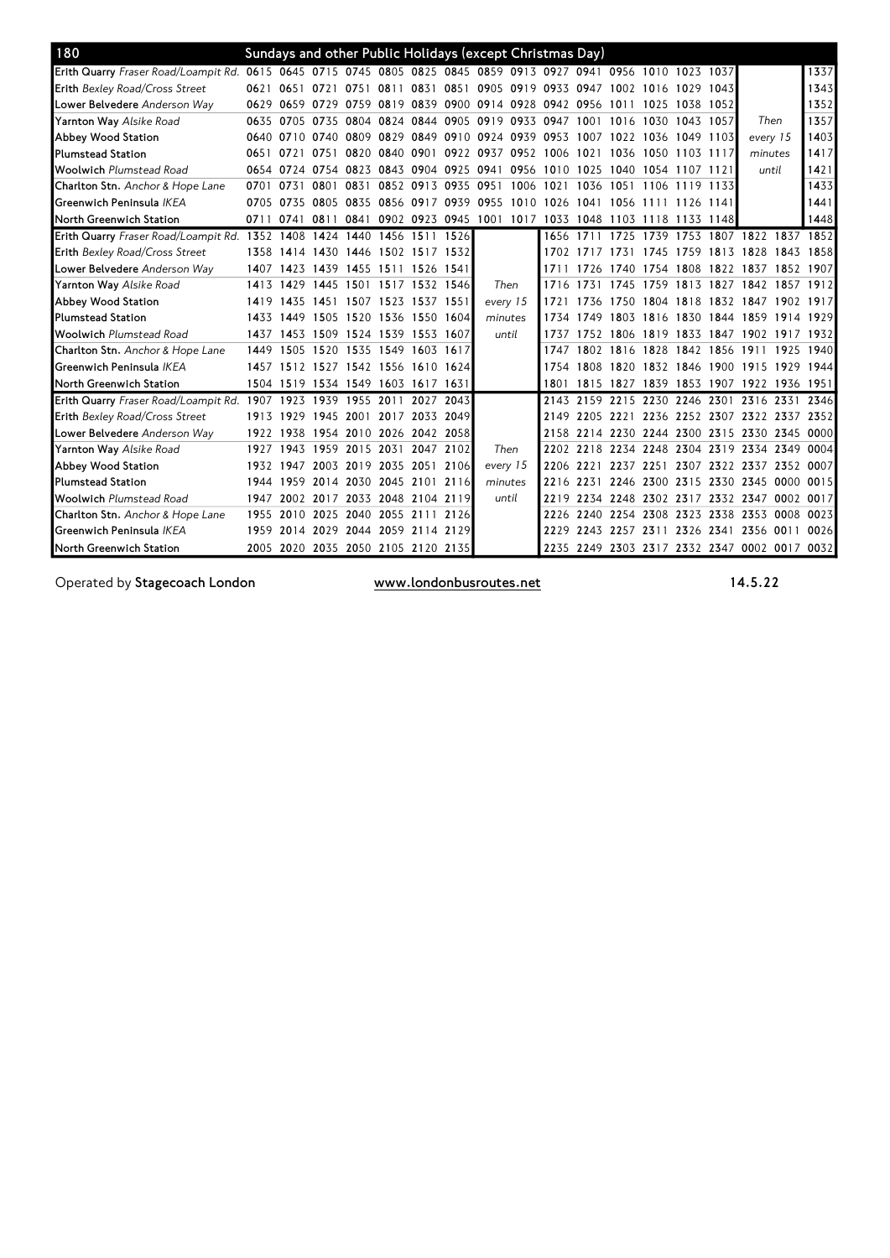| 180                                                                                                             |           |                |                                    |      |           |                          |      |          | Sundays and other Public Holidays (except Christmas Day)    |      |                     |      |      |                                    |                |                                              |           |           |
|-----------------------------------------------------------------------------------------------------------------|-----------|----------------|------------------------------------|------|-----------|--------------------------|------|----------|-------------------------------------------------------------|------|---------------------|------|------|------------------------------------|----------------|----------------------------------------------|-----------|-----------|
| Erith Quarry Fraser Road/Loampit Rd. 0615 0645 0715 0745 0805 0825 0845 0859 0913 0927 0941 0956 1010 1023 1037 |           |                |                                    |      |           |                          |      |          |                                                             |      |                     |      |      |                                    |                |                                              |           | 1337      |
| <b>Erith Bexley Road/Cross Street</b>                                                                           |           | 0621 0651 0721 |                                    | 0751 |           |                          |      |          | 0811 0831 0851 0905 0919 0933 0947 1002 1016 1029 1043      |      |                     |      |      |                                    |                |                                              |           | 1343      |
| Lower Belvedere Anderson Way                                                                                    |           |                |                                    |      |           |                          |      |          | 0629 0659 0729 0759 0819 0839 0900 0914 0928 0942 0956 1011 |      |                     |      |      | 1025 1038 1052                     |                |                                              |           | 1352      |
| <b>Yarnton Way</b> Alsike Road                                                                                  | 0635 0705 |                | 0735 0804                          |      |           |                          |      |          | 0824 0844 0905 0919 0933 0947                               |      | 1001 1016           |      | 1030 | 1043 1057                          |                | Then                                         |           | 1357      |
| Abbey Wood Station                                                                                              |           | 0640 0710      |                                    |      |           |                          |      |          | 0740 0809 0829 0849 0910 0924 0939 0953 1007                |      |                     | 1022 |      | 1036 1049 1103                     |                | every 15                                     |           | 1403      |
| <b>Plumstead Station</b>                                                                                        | 0651 0721 |                | 0751                               |      |           |                          |      |          | 0820 0840 0901 0922 0937 0952 1006 1021 1036                |      |                     |      |      | 1050 1103 1117                     |                | minutes                                      |           | 1417      |
| <b>Woolwich</b> Plumstead Road                                                                                  |           |                |                                    |      |           |                          |      |          | 0654 0724 0754 0823 0843 0904 0925 0941 0956 1010 1025 1040 |      |                     |      |      | 1054 1107 1121                     |                | until                                        |           | 1421      |
| <b>Charlton Stn.</b> Anchor & Hope Lane                                                                         | 0701 0731 |                | 0801                               | 0831 |           | 0852 0913 0935 0951      |      |          | 1006                                                        | 1021 | 1036 1051           |      |      | 1106 1119 1133                     |                |                                              |           | 1433      |
| Greenwich Peninsula <i>IKEA</i>                                                                                 |           | 0705 0735      | 0805                               | 0835 |           |                          |      |          | 0856 0917 0939 0955 1010 1026 1041 1056                     |      |                     |      | 1111 | 1126 1141                          |                |                                              |           | 1441      |
| North Greenwich Station                                                                                         |           | 0711 0741      | 0811                               | 0841 |           |                          |      |          | 0902 0923 0945 1001 1017 1033 1048 1103 1118 1133 1148      |      |                     |      |      |                                    |                |                                              |           | 1448      |
| Erith Quarry Fraser Road/Loampit Rd. 1352 1408                                                                  |           |                |                                    |      |           | 1424 1440 1456 1511 1526 |      |          |                                                             |      | 1656 1711           | 1725 |      |                                    |                | 1739 1753 1807 1822 1837 1852                |           |           |
| Erith Bexley Road/Cross Street                                                                                  |           | 1358 1414      | 1430 1446 1502 1517 1532           |      |           |                          |      |          |                                                             |      | 1702 1717 1731      |      | 1745 | 1759 1813 1828                     |                |                                              | 1843      | 1858      |
| <b>Lower Belvedere</b> Anderson Wav                                                                             |           | 1407 1423      | 1439 1455 1511 1526 1541           |      |           |                          |      |          |                                                             | 1711 |                     |      |      | 1726 1740 1754 1808 1822 1837      |                |                                              | 1852 1907 |           |
| <b>Yarnton Way</b> Alsike Road                                                                                  | 1413 1429 |                | 1445                               | 1501 |           | 1517 1532 1546           |      | Then     |                                                             | 1716 | 1731                | 1745 |      |                                    |                | 1759 1813 1827 1842 1857                     |           | 1912      |
| Abbey Wood Station                                                                                              |           | 1419 1435      | 1451 1507 1523 1537 1551           |      |           |                          |      | every 15 |                                                             | 1721 |                     |      |      |                                    |                | 1736 1750 1804 1818 1832 1847 1902 1917      |           |           |
| <b>Plumstead Station</b>                                                                                        |           | 1433 1449      | 1505                               |      |           | 1520 1536 1550 1604      |      | minutes  |                                                             |      | 1734 1749 1803      |      |      |                                    |                | 1816 1830 1844 1859 1914 1929                |           |           |
| <b>Woolwich</b> Plumstead Road                                                                                  | 1437      | 1453           | 1509 1524 1539 1553 1607           |      |           |                          |      | until    |                                                             |      | 1737 1752 1806      |      |      |                                    |                | 1819 1833 1847 1902 1917 1932                |           |           |
| Charlton Stn. Anchor & Hope Lane                                                                                |           | 1449 1505      | 1520 1535 1549 1603 1617           |      |           |                          |      |          |                                                             |      |                     |      |      | 1747 1802 1816 1828 1842 1856 1911 |                |                                              |           | 1925 1940 |
| Greenwich Peninsula IKEA                                                                                        |           |                | 1457 1512 1527 1542 1556 1610 1624 |      |           |                          |      |          |                                                             |      |                     |      |      |                                    |                | 1754 1808 1820 1832 1846 1900 1915 1929      |           | 1944      |
| North Greenwich Station                                                                                         |           |                | 1504 1519 1534 1549 1603 1617 1631 |      |           |                          |      |          |                                                             | 1801 |                     |      |      |                                    |                | 1815 1827 1839 1853 1907 1922 1936 1951      |           |           |
| Erith Quarry Fraser Road/Loampit Rd. 1907 1923                                                                  |           |                | 1939 1955 2011 2027 2043           |      |           |                          |      |          |                                                             |      |                     |      |      |                                    |                | 2143 2159 2215 2230 2246 2301 2316 2331      |           | 2346      |
| <b>Erith Bexley Road/Cross Street</b>                                                                           |           | 1913 1929      | 1945                               | 2001 |           | 2017 2033                | 2049 |          |                                                             | 2149 | 2205 2221           |      |      |                                    |                | 2236 2252 2307 2322 2337                     |           | 2352      |
| <b>Lower Belvedere</b> Anderson Wav                                                                             | 1922      | 1938           |                                    |      |           | 1954 2010 2026 2042 2058 |      |          |                                                             |      |                     |      |      |                                    |                | 2158 2214 2230 2244 2300 2315 2330 2345 0000 |           |           |
| <b>Yarnton Way</b> Alsike Road                                                                                  | 1927 1943 |                |                                    |      |           | 1959 2015 2031 2047 2102 |      | Then     |                                                             |      |                     |      |      |                                    |                | 2202 2218 2234 2248 2304 2319 2334 2349      |           | 0004      |
| Abbey Wood Station                                                                                              | 1932 1947 |                | 2003                               | 2019 | 2035      | 2051                     | 2106 | every 15 |                                                             | 2206 | 2221                | 2237 | 2251 |                                    | 2307 2322 2337 |                                              | 2352      | 0007      |
| <b>Plumstead Station</b>                                                                                        | 1944      | 1959           | 2014                               |      |           | 2030 2045 2101 2116      |      | minutes  |                                                             | 2216 | 2231                | 2246 | 2300 | 2315 2330 2345                     |                |                                              | 0000      | 0015      |
| <b>Woolwich</b> Plumstead Road                                                                                  | 1947      |                | 2002 2017                          |      |           | 2033 2048 2104 2119      |      | until    |                                                             |      | 2219 2234 2248      |      |      |                                    |                | 2302 2317 2332 2347 0002 0017                |           |           |
| Charlton Stn. Anchor & Hope Lane                                                                                |           | 1955 2010      | 2025                               | 2040 | 2055 2111 |                          | 2126 |          |                                                             |      |                     |      |      |                                    |                | 2226 2240 2254 2308 2323 2338 2353 0008      |           | 0023      |
| Greenwich Peninsula IKEA                                                                                        |           | 1959 2014      | 2029 2044 2059 2114 2129           |      |           |                          |      |          |                                                             |      | 2229 2243 2257 2311 |      |      |                                    |                | 2326 2341 2356 0011                          |           | 0026      |
| North Greenwich Station                                                                                         |           |                | 2005 2020 2035 2050 2105 2120 2135 |      |           |                          |      |          |                                                             |      |                     |      |      |                                    |                | 2235 2249 2303 2317 2332 2347 0002 0017 0032 |           |           |

Operated by Stagecoach London www.londonbusroutes.net 14.5.22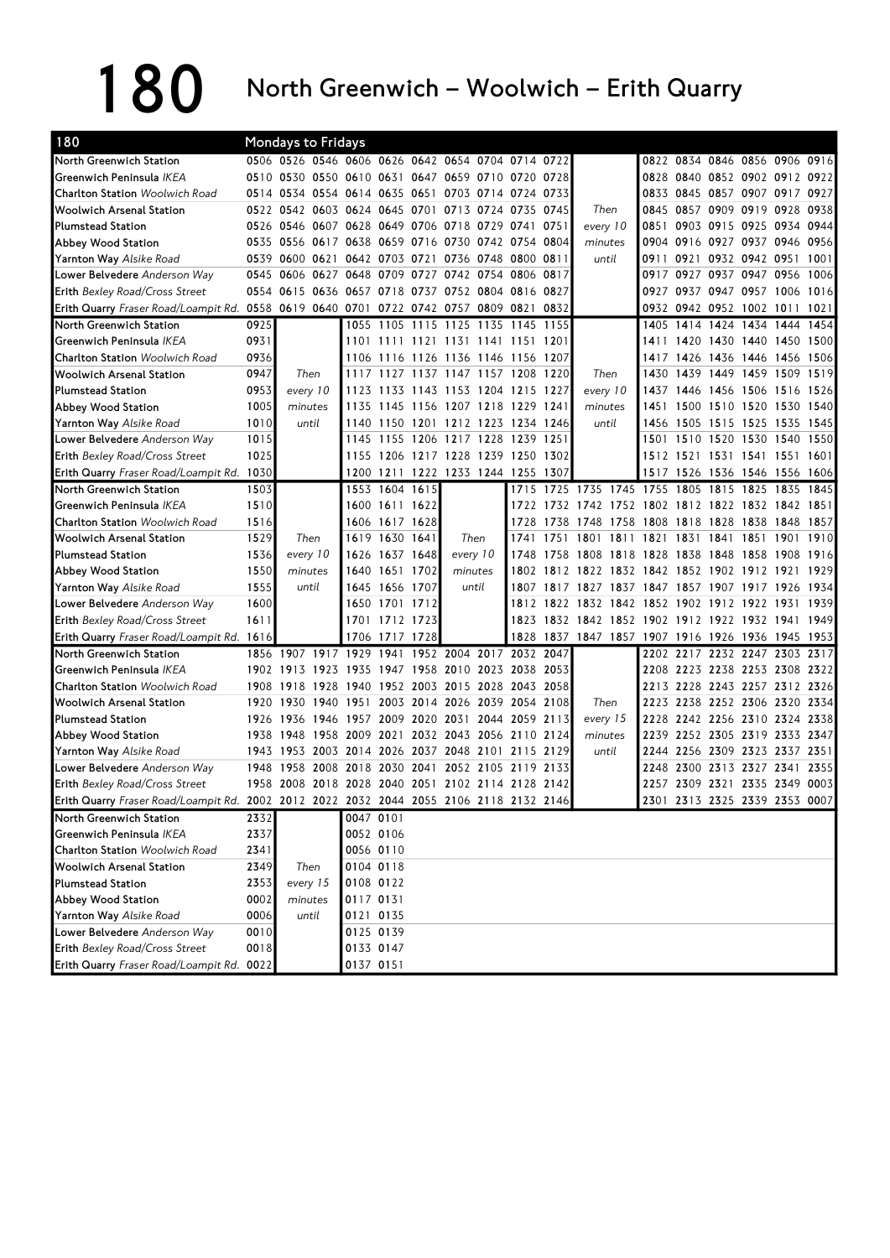## 180 North Greenwich – Woolwich – Erith Quarry

| 180                                                                                    |      | Mondays to Fridays                                |           |                |           |                               |                |                     |       |                                              |      |      |                             |                               |      |      |
|----------------------------------------------------------------------------------------|------|---------------------------------------------------|-----------|----------------|-----------|-------------------------------|----------------|---------------------|-------|----------------------------------------------|------|------|-----------------------------|-------------------------------|------|------|
| North Greenwich Station                                                                |      | 0506 0526 0546 0606 0626 0642 0654 0704 0714 0722 |           |                |           |                               |                |                     |       |                                              |      |      |                             | 0822 0834 0846 0856 0906 0916 |      |      |
| Greenwich Peninsula IKEA                                                               |      | 0510 0530 0550 0610 0631 0647 0659 0710 0720      |           |                |           |                               |                |                     | 0728  |                                              | 0828 |      |                             | 0840 0852 0902 0912           |      | 0922 |
| <b>Charlton Station</b> Woolwich Road                                                  |      | 0514 0534 0554 0614 0635                          |           |                | 0651      |                               | 0703 0714 0724 |                     | 0733  |                                              | 0833 |      |                             | 0845 0857 0907 0917 0927      |      |      |
| Woolwich Arsenal Station                                                               |      | 0522 0542 0603 0624 0645                          |           |                | 0701      | 0713 0724 0735                |                |                     | 0745  | Then                                         | 0845 |      |                             | 0857 0909 0919                | 0928 | 0938 |
| <b>Plumstead Station</b>                                                               | 0526 | 0546<br>0607                                      | 0628      | 0649           | 0706      | 0718 0729 0741                |                |                     | 0751  | every 10                                     | 0851 | 0903 |                             | 0915 0925 0934                |      | 0944 |
| Abbey Wood Station                                                                     | 0535 | 0556<br>0617                                      | 0638      | 0659           |           | 0716 0730 0742 0754           |                |                     | 0804  | minutes                                      | 0904 | 0916 |                             | 0927 0937 0946                |      | 0956 |
| <b>Yarnton Way Alsike Road</b>                                                         | 0539 | 0600<br>0621                                      | 0642      | 0703           | 0721      | 0736                          | 0748 0800      |                     | 0811  | until                                        | 0911 | 0921 |                             | 0932 0942 0951                |      | 1001 |
| Lower Belvedere Anderson Way                                                           | 0545 | 0606 0627                                         |           | 0648 0709      | 0727      | 0742 0754 0806                |                |                     | 0817  |                                              | 0917 | 0927 |                             | 0937 0947 0956                |      | 1006 |
| Erith Bexley Road/Cross Street                                                         | 0554 | 0615 0636 0657 0718 0737 0752 0804 0816           |           |                |           |                               |                |                     | 0827  |                                              | 0927 |      |                             | 0937 0947 0957 1006 1016      |      |      |
| Erith Quarry Fraser Road/Loampit Rd. 0558                                              |      | 0619 0640 0701 0722 0742 0757 0809 0821           |           |                |           |                               |                |                     | 0832  |                                              | 0932 |      |                             | 0942 0952 1002 1011 1021      |      |      |
| North Greenwich Station                                                                | 0925 |                                                   | 1055      | 1105           | 1115      | 1125 1135 1145                |                |                     | 1155  |                                              | 1405 |      |                             | 1414 1424 1434 1444           |      | 1454 |
| Greenwich Peninsula IKEA                                                               | 0931 |                                                   | 1101      | 1111           | 1121      | 1131 1141 1151                |                |                     | 1201  |                                              | 1411 | 1420 |                             | 1430 1440 1450                |      | 1500 |
| <b>Charlton Station</b> Woolwich Road                                                  | 0936 |                                                   | 1106      | 1116           |           | 1126 1136 1146 1156           |                |                     | 1207  |                                              | 141/ | 1426 | 1 <b>4</b> 36 1 <b>4</b> 46 |                               | 1456 | 1506 |
| <b>Woolwich Arsenal Station</b>                                                        | 0947 | Then                                              | 1117      | 1127           | 1137      | 1147                          | 1157 1208      |                     | 1220  | Then                                         | 1430 | 1439 | 1449 1459                   |                               | 1509 | 1519 |
| <b>Plumstead Station</b>                                                               | 0953 | every 10                                          | 1123      | 1133           |           | 1143 1153 1204 1215           |                |                     | -1227 | every 10                                     | 1437 |      |                             | 1446 1456 1506 1516           |      | 1526 |
| Abbey Wood Station                                                                     | 1005 | minutes                                           | 1135      | 1145           |           | 1156 1207 1218 1229           |                |                     | -1241 | minutes                                      | 1451 |      |                             | 1500 1510 1520 1530           |      | 1540 |
| Yarnton Way Alsike Road                                                                | 1010 | until                                             | 1140      | 1150           | 1201      |                               |                | 1212 1223 1234 1246 |       | until                                        | 1456 | 1505 | 1515 1525                   |                               | 1535 | 1545 |
| Lower Belvedere Anderson Way                                                           | 1015 |                                                   | 1145      | 1155           |           | 1206 1217 1228 1239           |                |                     | 1251  |                                              | 1501 |      |                             | 1510 1520 1530 1540           |      | 1550 |
| <b>Erith Bexley Road/Cross Street</b>                                                  | 1025 |                                                   | 1155      | 1206           |           | 1217 1228 1239 1250           |                |                     | 1302  |                                              |      |      |                             | 1512 1521 1531 1541 1551      |      | 1601 |
| Erith Quarry Fraser Road/Loampit Rd.                                                   | 1030 |                                                   | 1200      | 1211           |           | 1222 1233 1244 1255           |                |                     | 1307  |                                              | 1517 |      |                             | 1526 1536 1546 1556           |      | 1606 |
| North Greenwich Station                                                                | 1503 |                                                   | 1553      |                | 1604 1615 |                               |                | 1715                |       | 1725 1735 1745 1755                          |      | 1805 |                             | 1815 1825                     | 1835 | 1845 |
| Greenwich Peninsula IKEA                                                               | 1510 |                                                   | 1600      |                | 1611 1622 |                               |                | 1722                |       | 1732 1742 1752 1802 1812 1822 1832 1842 1851 |      |      |                             |                               |      |      |
| <b>Charlton Station Woolwich Road</b>                                                  | 1516 |                                                   | 1606      | 1617 1628      |           |                               |                | 1728                | 1738  | 1758<br>1748                                 |      |      | 1808 1818 1828 1838         |                               | 1848 | 1857 |
| <b>Woolwich Arsenal Station</b>                                                        | 1529 | Then                                              | 1619      | 1630 1641      |           | Then                          |                | 1741                | 1751  | 1811<br>1801                                 | 1821 |      | 1831 1841 1851              |                               | 1901 | 1910 |
| <b>Plumstead Station</b>                                                               | 1536 | every 10                                          | 1626      | 1637           | 1648      | every 10                      |                | 1748                | 1758  | 1808<br>1818                                 | 1828 |      | 1838 1848 1858              |                               | 1908 | 1916 |
| Abbey Wood Station                                                                     | 1550 | minutes                                           | 1640      | 1651           | 1702      | minutes                       |                | 1802                | 1812  | 1822 1832                                    |      |      |                             | 1842 1852 1902 1912           | 1921 | 1929 |
| <b>Yarnton Way Alsike Road</b>                                                         | 1555 | until                                             | 1645      | 1656           | 1707      | until                         |                | 1807                |       | 1817 1827 1837 1847 1857 1907 1917 1926 1934 |      |      |                             |                               |      |      |
| Lower Belvedere Anderson Way                                                           | 1600 |                                                   |           | 1650 1701 1712 |           |                               |                | 1812                |       | 1822 1832 1842                               |      |      |                             | 1852 1902 1912 1922 1931      |      | 1939 |
| <b>Erith Bexley Road/Cross Street</b>                                                  | 1611 |                                                   | 1701      |                | 1712 1723 |                               |                | 1823                |       | 1832 1842 1852 1902 1912 1922 1932 1941      |      |      |                             |                               |      | 1949 |
| <b>Erith Quarry</b> Fraser Road/Loampit Rd. 1616                                       |      |                                                   | 1706      | 1717           | 1728      |                               |                |                     |       | 1828 1837 1847 1857 1907 1916 1926 1936 1945 |      |      |                             |                               |      | 1953 |
| North Greenwich Station                                                                | 1856 | 1907<br>1917                                      | 1929      | 1941           | 1952      | 2004                          |                | 2017 2032 2047      |       |                                              | 2202 | 2217 |                             | 2232 2247 2303                |      | 2317 |
| Greenwich Peninsula IKEA                                                               | 1902 | 1913<br>1923                                      | 1935      | 1947           | 1958      | 2010 2023 2038                |                |                     | 2053  |                                              | 2208 |      |                             | 2223 2238 2253 2308 2322      |      |      |
| Charlton Station Woolwich Road                                                         | 1908 | 1918<br>1928 1940                                 |           |                |           | 1952 2003 2015 2028 2043 2058 |                |                     |       |                                              | 2213 |      |                             | 2228 2243 2257 2312 2326      |      |      |
| <b>Woolwich Arsenal Station</b>                                                        |      | 1920 1930<br>1940 1951                            |           | 2003           | 2014      |                               | 2026 2039 2054 |                     | 2108  | Then                                         | 2223 |      |                             | 2238 2252 2306 2320 2334      |      |      |
| <b>Plumstead Station</b>                                                               | 1926 | 1936<br>1946                                      | 1957      | 2009           | 2020      | 2031                          |                | 2044 2059           | 2113  | every 15                                     | 2228 |      |                             | 2242 2256 2310 2324           |      | 2338 |
| Abbey Wood Station                                                                     | 1938 | 1948                                              | 1958 2009 | 2021           |           | 2032 2043 2056 2110           |                |                     | 2124  | minutes                                      | 2239 |      |                             | 2252 2305 2319 2333 2347      |      |      |
| <b>Yarnton Way Alsike Road</b>                                                         | 1943 | 1953<br>2003                                      | 2014      | 2026           | 2037      | 2048                          | 2101           | 2115                | 2129  | until                                        | 2244 | 2256 | 2309 2323                   |                               | 2337 | 2351 |
| Lower Belvedere Anderson Way                                                           | 1948 | 1958<br>2008                                      | 2018      | 2030           | 2041      | 2052                          | 2105 2119      |                     | 2133  |                                              | 2248 | 2300 |                             | 2313 2327 2341                |      | 2355 |
| Erith Bexley Road/Cross Street                                                         |      | 1958 2008 2018 2028 2040 2051 2102 2114 2128 2142 |           |                |           |                               |                |                     |       |                                              |      |      |                             | 2257 2309 2321 2335 2349 0003 |      |      |
| Erith Quarry Fraser Road/Loampit Rd. 2002 2012 2022 2032 2044 2055 2106 2118 2132 2146 |      |                                                   |           |                |           |                               |                |                     |       |                                              |      |      |                             | 2301 2313 2325 2339 2353 0007 |      |      |
| North Greenwich Station                                                                | 2332 |                                                   |           | 0047 0101      |           |                               |                |                     |       |                                              |      |      |                             |                               |      |      |
| Greenwich Peninsula IKEA                                                               | 2337 |                                                   |           | 0052 0106      |           |                               |                |                     |       |                                              |      |      |                             |                               |      |      |
| Charlton Station Woolwich Road                                                         | 2341 |                                                   |           | 0056 0110      |           |                               |                |                     |       |                                              |      |      |                             |                               |      |      |
| <b>Woolwich Arsenal Station</b>                                                        | 2349 | Then                                              |           | 0104 0118      |           |                               |                |                     |       |                                              |      |      |                             |                               |      |      |
| Plumstead Station                                                                      | 2353 | every 15                                          |           | 0108 0122      |           |                               |                |                     |       |                                              |      |      |                             |                               |      |      |
| Abbey Wood Station                                                                     | 0002 | minutes                                           | 0117 0131 |                |           |                               |                |                     |       |                                              |      |      |                             |                               |      |      |
| Yarnton Way Alsike Road                                                                | 0006 | until                                             |           | 0121 0135      |           |                               |                |                     |       |                                              |      |      |                             |                               |      |      |
| Lower Belvedere Anderson Way                                                           | 0010 |                                                   |           | 0125 0139      |           |                               |                |                     |       |                                              |      |      |                             |                               |      |      |
| Erith Bexley Road/Cross Street                                                         | 0018 |                                                   |           | 0133 0147      |           |                               |                |                     |       |                                              |      |      |                             |                               |      |      |
| Erith Quarry Fraser Road/Loampit Rd. 0022                                              |      |                                                   |           | 0137 0151      |           |                               |                |                     |       |                                              |      |      |                             |                               |      |      |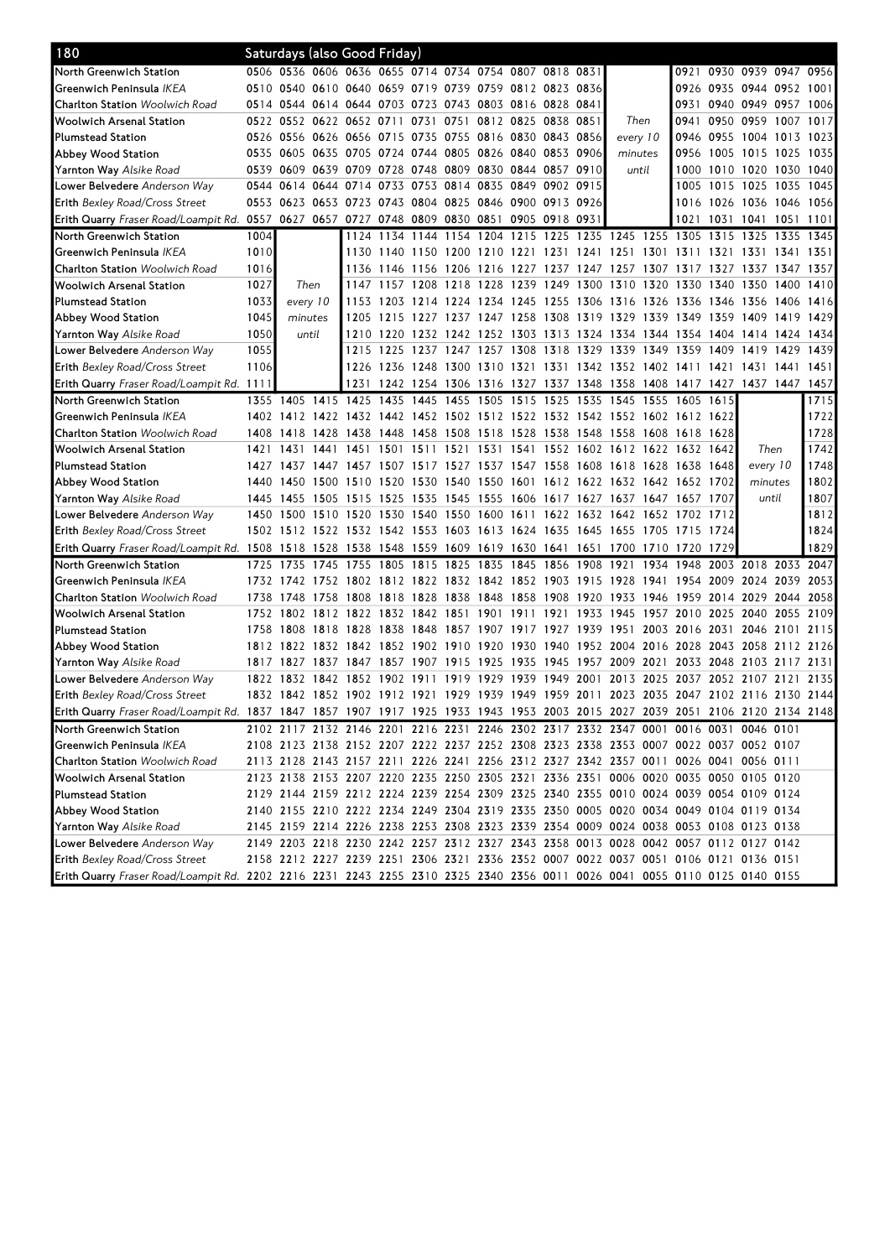| 180                                                                                                                            |      |                |         | Saturdays (also Good Friday)       |      |                     |                                                             |           |                |           |                                                                                           |           |                |                     |                           |           |      |
|--------------------------------------------------------------------------------------------------------------------------------|------|----------------|---------|------------------------------------|------|---------------------|-------------------------------------------------------------|-----------|----------------|-----------|-------------------------------------------------------------------------------------------|-----------|----------------|---------------------|---------------------------|-----------|------|
| North Greenwich Station                                                                                                        |      |                |         |                                    |      |                     | 0506 0536 0606 0636 0655 0714 0734 0754 0807 0818 0831      |           |                |           |                                                                                           |           |                |                     | 0921 0930 0939 0947 09561 |           |      |
| Greenwich Peninsula IKEA                                                                                                       |      |                |         |                                    |      |                     | 0510 0540 0610 0640 0659 0719 0739 0759 0812 0823 0836      |           |                |           |                                                                                           |           |                |                     | 0926 0935 0944 0952 1001  |           |      |
| <b>Charlton Station Woolwich Road</b>                                                                                          |      |                |         |                                    |      |                     | 0514 0544 0614 0644 0703 0723 0743 0803 0816 0828 0841      |           |                |           |                                                                                           |           | 0931           |                     | 0940 0949 0957            |           | 1006 |
| Woolwich Arsenal Station                                                                                                       |      |                |         | 0522 0552 0622 0652 0711           |      | 0731                | 0751                                                        | 0812 0825 | 0838 0851      |           | Then                                                                                      |           | 0941           | 0950 0959           |                           | 1007      | 1017 |
| <b>Plumstead Station</b>                                                                                                       |      |                |         |                                    |      |                     | 0526 0556 0626 0656 0715 0735 0755 0816 0830 0843 0856      |           |                |           | every 10                                                                                  |           | 0946           |                     | 0955 1004 1013            |           | 1023 |
| Abbey Wood Station                                                                                                             |      |                |         |                                    |      |                     | 0535 0605 0635 0705 0724 0744 0805 0826 0840                |           | 0853 0906      |           | minutes                                                                                   |           | 0956           |                     | 1005 1015 1025            |           | 1035 |
| <b>Yarnton Way</b> Alsike Road                                                                                                 |      |                |         |                                    |      |                     | 0539 0609 0639 0709 0728 0748 0809 0830 0844                |           | 0857 0910      |           | until                                                                                     |           | 1000           |                     | 1010 1020 1030 1040       |           |      |
| Lower Belvedere Anderson Way                                                                                                   | 0544 | 0614           |         | 0644 0714                          |      | 0733 0753 0814      |                                                             | 0835 0849 | 0902 0915      |           |                                                                                           |           | 1005           |                     | 1015 1025 1035 1045       |           |      |
| <b>Erith Bexley Road/Cross Street</b>                                                                                          |      |                |         |                                    |      |                     | 0553 0623 0653 0723 0743 0804 0825 0846 0900                |           | 0913 0926      |           |                                                                                           |           |                |                     | 1016 1026 1036 1046 1056  |           |      |
| Erith Quarry Fraser Road/Loampit Rd. 0557 0627 0657 0727 0748 0809                                                             |      |                |         |                                    |      |                     | 0830 0851 0905                                              |           | 0918 0931      |           |                                                                                           |           |                | 1021 1031 1041      |                           | 1051      | 1101 |
| North Greenwich Station                                                                                                        | 1004 |                |         |                                    |      |                     | 1124 1134 1144 1154 1204 1215                               |           |                |           | 1225 1235 1245 1255 1305                                                                  |           |                | 1315 1325           |                           | 1335      | 1345 |
| Greenwich Peninsula IKEA                                                                                                       | 1010 |                |         |                                    |      |                     |                                                             |           |                |           | 1130 1140 1150 1200 1210 1221 1231 1241 1251 1301 1311                                    |           |                | 1321 1331           |                           | 1341      | 1351 |
| <b>Charlton Station</b> Woolwich Road                                                                                          | 1016 |                |         |                                    |      |                     |                                                             |           |                |           | 1136 1146 1156 1206 1216 1227 1237 1247 1257 1307 1317 1327 1337 1347                     |           |                |                     |                           |           | 1357 |
| Woolwich Arsenal Station                                                                                                       | 1027 |                | Then    | 1147                               |      |                     | 1157 1208 1218 1228 1239                                    |           | 1249 1300 1310 |           |                                                                                           |           |                | 1320 1330 1340 1350 |                           | 1400      | 1410 |
| <b>Plumstead Station</b>                                                                                                       | 1033 | every 10       |         | 1153                               | 1203 |                     | 1214 1224 1234 1245                                         |           | 1255 1306 1316 |           |                                                                                           |           | 1326 1336 1346 |                     | 1356                      | 1406      | 1416 |
| Abbey Wood Station                                                                                                             | 1045 |                | minutes | 1205                               | 1215 | 1227                | 1237                                                        | 1247 1258 | 1308           | 1319 1329 |                                                                                           | 1339      | 1349           | 1359                | 1409                      | 1419      | 1429 |
| <b>Yarnton Way</b> Alsike Road                                                                                                 | 1050 | until          |         | 1210                               | 1220 |                     |                                                             |           |                |           | 1232 1242 1252 1303 1313 1324 1334 1344 1354 1404 1414 1424                               |           |                |                     |                           |           | 1434 |
| Lower Belvedere Anderson Way                                                                                                   | 1055 |                |         | 1215                               |      |                     | 1225 1237 1247 1257 1308 1318 1329 1339                     |           |                |           |                                                                                           | 1349 1359 |                | 1409                | 1419                      | 1429      | 1439 |
| Erith Bexley Road/Cross Street                                                                                                 | 1106 |                |         |                                    |      |                     |                                                             |           |                |           | 1226 1236 1248 1300 1310 1321 1331 1342 1352 1402 1411 1421 1431 1441                     |           |                |                     |                           |           | 1451 |
| Erith Quarry Fraser Road/Loampit Rd. 1111                                                                                      |      |                |         | 1231                               |      |                     |                                                             |           |                |           | 1242 1254 1306 1316 1327 1337 1348 1358 1408 1417 1427 1437 1447 1457                     |           |                |                     |                           |           |      |
| North Greenwich Station                                                                                                        |      | 1355 1405 1415 |         | 1425                               |      |                     |                                                             |           |                |           | 1435 1445 1455 1505 1515 1525 1535 1545 1555 1605 1615                                    |           |                |                     |                           |           | 1715 |
| Greenwich Peninsula IKEA                                                                                                       |      | 1402 1412      |         |                                    |      |                     |                                                             |           |                |           | 1422 1432 1442 1452 1502 1512 1522 1532 1542 1552 1602 1612 1622                          |           |                |                     |                           |           | 1722 |
| <b>Charlton Station</b> Woolwich Road                                                                                          |      | 1408 1418      | 1428    |                                    |      |                     | 1438 1448 1458 1508 1518 1528                               |           | 1538 1548 1558 |           |                                                                                           |           | 1608 1618 1628 |                     |                           |           | 1728 |
| Woolwich Arsenal Station                                                                                                       | 1421 | 1431           | 1441    | 1451                               | 1501 |                     | 1511 1521 1531 1541                                         |           |                |           | 1552 1602 1612 1622 1632 1642                                                             |           |                |                     | Then                      |           | 1742 |
| <b>Plumstead Station</b>                                                                                                       |      |                |         |                                    |      |                     | 1427 1437 1447 1457 1507 1517 1527 1537 1547 1558 1608 1618 |           |                |           |                                                                                           |           | 1628 1638 1648 |                     | every 10                  |           | 1748 |
| Abbey Wood Station                                                                                                             |      | 1440 1450      |         |                                    |      |                     |                                                             |           |                |           | 1500 1510 1520 1530 1540 1550 1601 1612 1622 1632 1642 1652 1702                          |           |                |                     | minutes                   |           | 1802 |
| <b>Yarnton Way</b> Alsike Road                                                                                                 |      | 1445 1455      | 1505    |                                    |      |                     | 1515 1525 1535 1545 1555 1606 1617 1627 1637                |           |                |           |                                                                                           | 1647 1657 |                | 1707                | until                     |           | 1807 |
| Lower Belvedere Anderson Way                                                                                                   |      |                |         |                                    |      |                     | 1450 1500 1510 1520 1530 1540 1550 1600 1611 1622 1632 1642 |           |                |           |                                                                                           |           | 1652 1702 1712 |                     |                           |           | 1812 |
| <b>Erith</b> Bexley Road/Cross Street                                                                                          |      |                |         |                                    |      |                     | 1502 1512 1522 1532 1542 1553 1603 1613 1624 1635 1645 1655 |           |                |           |                                                                                           | 1705      | 1715 1724      |                     |                           |           | 1824 |
| Erith Quarry Fraser Road/Loampit Rd. 1508 1518 1528 1538 1548 1559 1609                                                        |      |                |         |                                    |      |                     |                                                             |           |                |           | 1619 1630 1641 1651 1700 1710 1720                                                        |           |                | 1729                |                           |           | 1829 |
| North Greenwich Station                                                                                                        |      | 1725 1735      | 1745    |                                    |      | 1755 1805 1815 1825 |                                                             | 1835 1845 | 1856           | 1908 1921 |                                                                                           | 1934      | 1948           |                     | 2003 2018 2033 2047       |           |      |
| Greenwich Peninsula IKEA                                                                                                       |      |                |         |                                    |      |                     |                                                             |           |                |           | 1732 1742 1752 1802 1812 1822 1832 1842 1852 1903 1915 1928 1941 1954 2009 2024 2039      |           |                |                     |                           |           | 2053 |
| <b>Charlton Station Woolwich Road</b>                                                                                          |      | 1738 1748      | 1758    | 1808                               | 1818 | 1828                | 1838 1848 1858                                              |           | 1908 1920 1933 |           |                                                                                           | 1946      | 1959           | 2014 2029           |                           | 2044      | 2058 |
| Woolwich Arsenal Station                                                                                                       |      | 1752 1802      |         | 1812 1822 1832 1842 1851           |      |                     |                                                             | 1901 1911 | 1921           | 1933      | 1945                                                                                      | 1957      | 2010           | 2025 2040           |                           | 2055      | 2109 |
| Plumstead Station                                                                                                              |      | 1758 1808      | 1818    | 1828                               | 1838 | 1848                | 1857 1907 1917 1927 1939 1951                               |           |                |           |                                                                                           | 2003      | 2016           | 2031 2046           |                           | 2101      | 2115 |
| Abbey Wood Station                                                                                                             |      |                |         |                                    |      |                     | 1812 1822 1832 1842 1852 1902 1910 1920 1930                |           |                |           | 1940 1952 2004 2016 2028 2043 2058                                                        |           |                |                     |                           | 2112 2126 |      |
| <b>Yarnton Way</b> Alsike Road                                                                                                 |      |                |         | 1817 1827 1837 1847 1857 1907 1915 |      |                     |                                                             | 1925 1935 | 1945 1957 2009 |           |                                                                                           | 2021      |                | 2033 2048 2103      |                           | 2117      | 2131 |
| Lower Belvedere Anderson Way                                                                                                   |      |                |         | 1822 1832 1842 1852 1902           |      | 1911                | 1919 1929 1939                                              |           | 1949           | 2001      | 2013                                                                                      | 2025      | 2037           |                     | 2052 2107                 | 2121      | 2135 |
| <b>Erith Bexley Road/Cross Street</b>                                                                                          |      |                |         |                                    |      |                     |                                                             |           |                |           | 1832 1842 1852 1902 1912 1921 1929 1939 1949 1959 2011 2023 2035 2047 2102 2116 2130 2144 |           |                |                     |                           |           |      |
| Erith Quarry Fraser Road/Loampit Rd. 1837 1847 1857 1907 1917 1925 1933 1943 1953 2003 2015 2027 2039 2051 2106 2120 2134 2148 |      |                |         |                                    |      |                     |                                                             |           |                |           |                                                                                           |           |                |                     |                           |           |      |
| North Greenwich Station                                                                                                        |      |                |         |                                    |      |                     |                                                             |           |                |           | 2102 2117 2132 2146 2201 2216 2231 2246 2302 2317 2332 2347 0001 0016 0031 0046 0101      |           |                |                     |                           |           |      |
| Greenwich Peninsula <i>IKEA</i>                                                                                                |      |                |         |                                    |      |                     |                                                             |           |                |           | 2108 2123 2138 2152 2207 2222 2237 2252 2308 2323 2338 2353 0007 0022 0037 0052 0107      |           |                |                     |                           |           |      |
| <b>Charlton Station</b> Woolwich Road                                                                                          |      |                |         |                                    |      |                     |                                                             |           |                |           | 2113 2128 2143 2157 2211 2226 2241 2256 2312 2327 2342 2357 0011 0026 0041 0056 0111      |           |                |                     |                           |           |      |
| Woolwich Arsenal Station                                                                                                       |      |                |         |                                    |      |                     |                                                             |           |                |           | 2123 2138 2153 2207 2220 2235 2250 2305 2321 2336 2351 0006 0020 0035 0050 0105 0120      |           |                |                     |                           |           |      |
| Plumstead Station                                                                                                              |      |                |         |                                    |      |                     |                                                             |           |                |           | 2129 2144 2159 2212 2224 2239 2254 2309 2325 2340 2355 0010 0024 0039 0054 0109 0124      |           |                |                     |                           |           |      |
| Abbey Wood Station                                                                                                             |      |                |         |                                    |      |                     |                                                             |           |                |           | 2140 2155 2210 2222 2234 2249 2304 2319 2335 2350 0005 0020 0034 0049 0104 0119 0134      |           |                |                     |                           |           |      |
| <b>Yarnton Way</b> Alsike Road                                                                                                 |      |                |         |                                    |      |                     |                                                             |           |                |           | 2145 2159 2214 2226 2238 2253 2308 2323 2339 2354 0009 0024 0038 0053 0108 0123 0138      |           |                |                     |                           |           |      |
| Lower Belvedere Anderson Way                                                                                                   |      |                |         |                                    |      |                     |                                                             |           |                |           | 2149 2203 2218 2230 2242 2257 2312 2327 2343 2358 0013 0028 0042 0057 0112 0127 0142      |           |                |                     |                           |           |      |
| Erith Bexley Road/Cross Street                                                                                                 |      |                |         |                                    |      |                     |                                                             |           |                |           | 2158 2212 2227 2239 2251 2306 2321 2336 2352 0007 0022 0037 0051 0106 0121 0136 0151      |           |                |                     |                           |           |      |
| Erith Quarry Fraser Road/Loampit Rd. 2202 2216 2231 2243 2255 2310 2325 2340 2356 0011 0026 0041 0055 0110 0125 0140 0155      |      |                |         |                                    |      |                     |                                                             |           |                |           |                                                                                           |           |                |                     |                           |           |      |